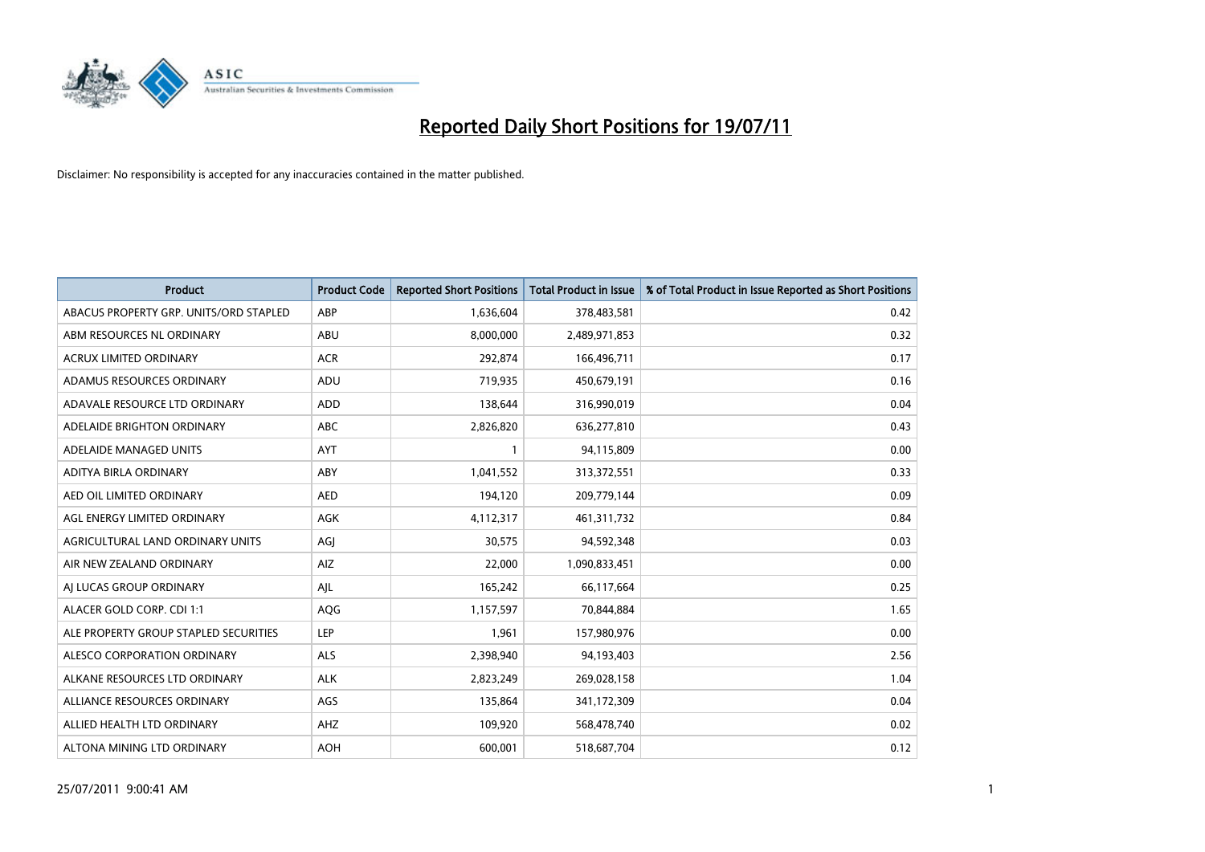

| <b>Product</b>                         | <b>Product Code</b> | <b>Reported Short Positions</b> | Total Product in Issue | % of Total Product in Issue Reported as Short Positions |
|----------------------------------------|---------------------|---------------------------------|------------------------|---------------------------------------------------------|
| ABACUS PROPERTY GRP. UNITS/ORD STAPLED | ABP                 | 1,636,604                       | 378,483,581            | 0.42                                                    |
| ABM RESOURCES NL ORDINARY              | ABU                 | 8,000,000                       | 2,489,971,853          | 0.32                                                    |
| <b>ACRUX LIMITED ORDINARY</b>          | <b>ACR</b>          | 292,874                         | 166,496,711            | 0.17                                                    |
| ADAMUS RESOURCES ORDINARY              | ADU                 | 719,935                         | 450,679,191            | 0.16                                                    |
| ADAVALE RESOURCE LTD ORDINARY          | <b>ADD</b>          | 138,644                         | 316,990,019            | 0.04                                                    |
| ADELAIDE BRIGHTON ORDINARY             | <b>ABC</b>          | 2,826,820                       | 636,277,810            | 0.43                                                    |
| ADELAIDE MANAGED UNITS                 | <b>AYT</b>          |                                 | 94,115,809             | 0.00                                                    |
| ADITYA BIRLA ORDINARY                  | ABY                 | 1,041,552                       | 313,372,551            | 0.33                                                    |
| AED OIL LIMITED ORDINARY               | <b>AED</b>          | 194,120                         | 209,779,144            | 0.09                                                    |
| AGL ENERGY LIMITED ORDINARY            | <b>AGK</b>          | 4,112,317                       | 461,311,732            | 0.84                                                    |
| AGRICULTURAL LAND ORDINARY UNITS       | AGJ                 | 30,575                          | 94,592,348             | 0.03                                                    |
| AIR NEW ZEALAND ORDINARY               | AIZ                 | 22,000                          | 1,090,833,451          | 0.00                                                    |
| AI LUCAS GROUP ORDINARY                | AJL                 | 165,242                         | 66,117,664             | 0.25                                                    |
| ALACER GOLD CORP. CDI 1:1              | AQG                 | 1,157,597                       | 70,844,884             | 1.65                                                    |
| ALE PROPERTY GROUP STAPLED SECURITIES  | <b>LEP</b>          | 1,961                           | 157,980,976            | 0.00                                                    |
| ALESCO CORPORATION ORDINARY            | ALS                 | 2,398,940                       | 94,193,403             | 2.56                                                    |
| ALKANE RESOURCES LTD ORDINARY          | <b>ALK</b>          | 2,823,249                       | 269,028,158            | 1.04                                                    |
| ALLIANCE RESOURCES ORDINARY            | AGS                 | 135,864                         | 341,172,309            | 0.04                                                    |
| ALLIED HEALTH LTD ORDINARY             | AHZ                 | 109,920                         | 568,478,740            | 0.02                                                    |
| ALTONA MINING LTD ORDINARY             | <b>AOH</b>          | 600.001                         | 518,687,704            | 0.12                                                    |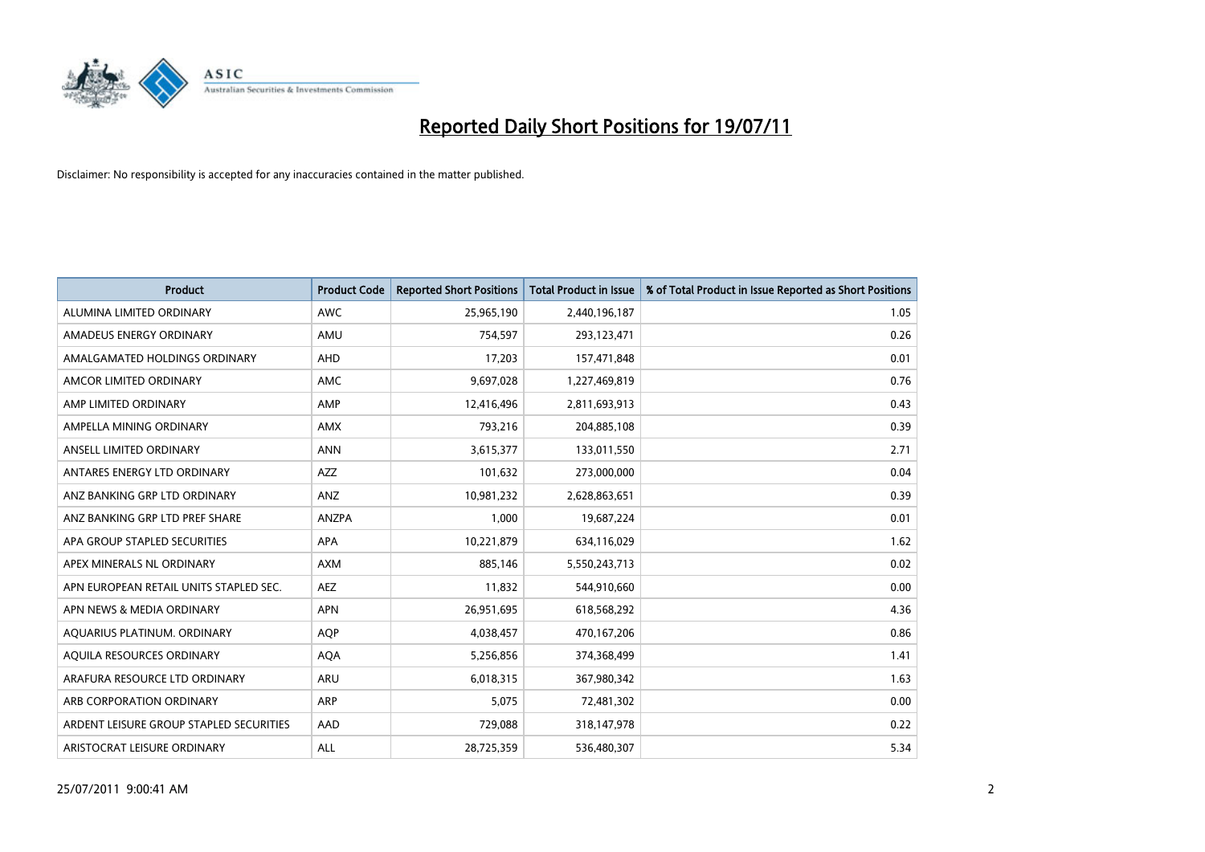

| <b>Product</b>                          | <b>Product Code</b> | <b>Reported Short Positions</b> | <b>Total Product in Issue</b> | % of Total Product in Issue Reported as Short Positions |
|-----------------------------------------|---------------------|---------------------------------|-------------------------------|---------------------------------------------------------|
| ALUMINA LIMITED ORDINARY                | <b>AWC</b>          | 25,965,190                      | 2,440,196,187                 | 1.05                                                    |
| AMADEUS ENERGY ORDINARY                 | AMU                 | 754,597                         | 293,123,471                   | 0.26                                                    |
| AMALGAMATED HOLDINGS ORDINARY           | <b>AHD</b>          | 17,203                          | 157,471,848                   | 0.01                                                    |
| AMCOR LIMITED ORDINARY                  | <b>AMC</b>          | 9,697,028                       | 1,227,469,819                 | 0.76                                                    |
| AMP LIMITED ORDINARY                    | AMP                 | 12,416,496                      | 2,811,693,913                 | 0.43                                                    |
| AMPELLA MINING ORDINARY                 | <b>AMX</b>          | 793,216                         | 204,885,108                   | 0.39                                                    |
| ANSELL LIMITED ORDINARY                 | <b>ANN</b>          | 3,615,377                       | 133,011,550                   | 2.71                                                    |
| ANTARES ENERGY LTD ORDINARY             | <b>AZZ</b>          | 101,632                         | 273,000,000                   | 0.04                                                    |
| ANZ BANKING GRP LTD ORDINARY            | ANZ                 | 10,981,232                      | 2,628,863,651                 | 0.39                                                    |
| ANZ BANKING GRP LTD PREF SHARE          | <b>ANZPA</b>        | 1,000                           | 19,687,224                    | 0.01                                                    |
| APA GROUP STAPLED SECURITIES            | <b>APA</b>          | 10,221,879                      | 634,116,029                   | 1.62                                                    |
| APEX MINERALS NL ORDINARY               | <b>AXM</b>          | 885.146                         | 5,550,243,713                 | 0.02                                                    |
| APN EUROPEAN RETAIL UNITS STAPLED SEC.  | <b>AEZ</b>          | 11,832                          | 544,910,660                   | 0.00                                                    |
| APN NEWS & MEDIA ORDINARY               | <b>APN</b>          | 26,951,695                      | 618,568,292                   | 4.36                                                    |
| AQUARIUS PLATINUM. ORDINARY             | <b>AOP</b>          | 4,038,457                       | 470,167,206                   | 0.86                                                    |
| AQUILA RESOURCES ORDINARY               | <b>AQA</b>          | 5,256,856                       | 374,368,499                   | 1.41                                                    |
| ARAFURA RESOURCE LTD ORDINARY           | <b>ARU</b>          | 6,018,315                       | 367,980,342                   | 1.63                                                    |
| ARB CORPORATION ORDINARY                | <b>ARP</b>          | 5,075                           | 72,481,302                    | 0.00                                                    |
| ARDENT LEISURE GROUP STAPLED SECURITIES | AAD                 | 729,088                         | 318,147,978                   | 0.22                                                    |
| ARISTOCRAT LEISURE ORDINARY             | <b>ALL</b>          | 28,725,359                      | 536,480,307                   | 5.34                                                    |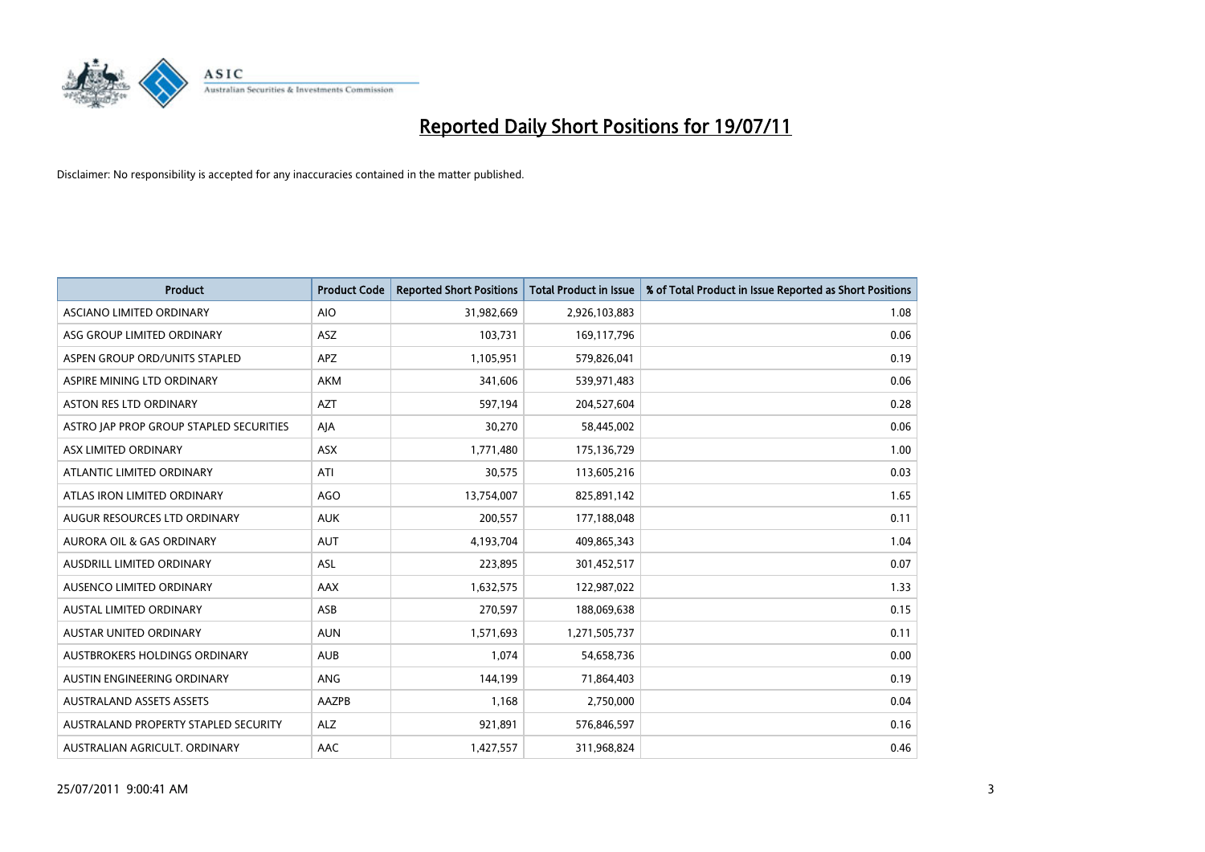

| <b>Product</b>                          | <b>Product Code</b> | <b>Reported Short Positions</b> | Total Product in Issue | % of Total Product in Issue Reported as Short Positions |
|-----------------------------------------|---------------------|---------------------------------|------------------------|---------------------------------------------------------|
| ASCIANO LIMITED ORDINARY                | <b>AIO</b>          | 31,982,669                      | 2,926,103,883          | 1.08                                                    |
| ASG GROUP LIMITED ORDINARY              | ASZ                 | 103,731                         | 169,117,796            | 0.06                                                    |
| ASPEN GROUP ORD/UNITS STAPLED           | <b>APZ</b>          | 1,105,951                       | 579,826,041            | 0.19                                                    |
| ASPIRE MINING LTD ORDINARY              | <b>AKM</b>          | 341,606                         | 539,971,483            | 0.06                                                    |
| <b>ASTON RES LTD ORDINARY</b>           | <b>AZT</b>          | 597,194                         | 204,527,604            | 0.28                                                    |
| ASTRO JAP PROP GROUP STAPLED SECURITIES | AJA                 | 30,270                          | 58,445,002             | 0.06                                                    |
| ASX LIMITED ORDINARY                    | <b>ASX</b>          | 1,771,480                       | 175,136,729            | 1.00                                                    |
| ATLANTIC LIMITED ORDINARY               | ATI                 | 30,575                          | 113,605,216            | 0.03                                                    |
| ATLAS IRON LIMITED ORDINARY             | AGO                 | 13,754,007                      | 825,891,142            | 1.65                                                    |
| AUGUR RESOURCES LTD ORDINARY            | <b>AUK</b>          | 200,557                         | 177,188,048            | 0.11                                                    |
| AURORA OIL & GAS ORDINARY               | <b>AUT</b>          | 4,193,704                       | 409,865,343            | 1.04                                                    |
| AUSDRILL LIMITED ORDINARY               | <b>ASL</b>          | 223,895                         | 301,452,517            | 0.07                                                    |
| AUSENCO LIMITED ORDINARY                | <b>AAX</b>          | 1,632,575                       | 122,987,022            | 1.33                                                    |
| <b>AUSTAL LIMITED ORDINARY</b>          | ASB                 | 270,597                         | 188,069,638            | 0.15                                                    |
| <b>AUSTAR UNITED ORDINARY</b>           | <b>AUN</b>          | 1,571,693                       | 1,271,505,737          | 0.11                                                    |
| AUSTBROKERS HOLDINGS ORDINARY           | <b>AUB</b>          | 1,074                           | 54,658,736             | 0.00                                                    |
| AUSTIN ENGINEERING ORDINARY             | ANG                 | 144,199                         | 71,864,403             | 0.19                                                    |
| <b>AUSTRALAND ASSETS ASSETS</b>         | AAZPB               | 1,168                           | 2,750,000              | 0.04                                                    |
| AUSTRALAND PROPERTY STAPLED SECURITY    | <b>ALZ</b>          | 921,891                         | 576,846,597            | 0.16                                                    |
| AUSTRALIAN AGRICULT. ORDINARY           | AAC                 | 1,427,557                       | 311,968,824            | 0.46                                                    |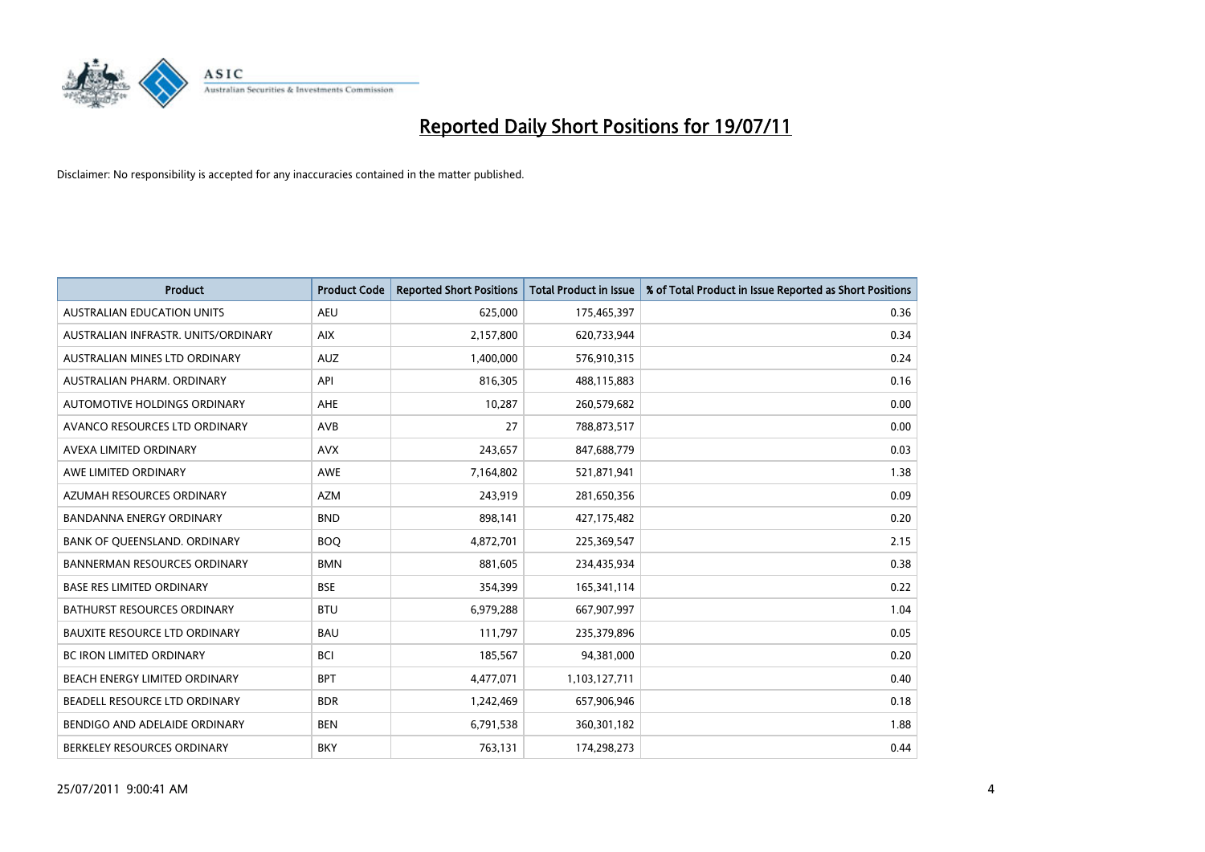

| <b>Product</b>                       | <b>Product Code</b> | <b>Reported Short Positions</b> | <b>Total Product in Issue</b> | % of Total Product in Issue Reported as Short Positions |
|--------------------------------------|---------------------|---------------------------------|-------------------------------|---------------------------------------------------------|
| <b>AUSTRALIAN EDUCATION UNITS</b>    | <b>AEU</b>          | 625.000                         | 175,465,397                   | 0.36                                                    |
| AUSTRALIAN INFRASTR, UNITS/ORDINARY  | <b>AIX</b>          | 2,157,800                       | 620,733,944                   | 0.34                                                    |
| AUSTRALIAN MINES LTD ORDINARY        | <b>AUZ</b>          | 1,400,000                       | 576,910,315                   | 0.24                                                    |
| AUSTRALIAN PHARM. ORDINARY           | API                 | 816,305                         | 488,115,883                   | 0.16                                                    |
| AUTOMOTIVE HOLDINGS ORDINARY         | <b>AHE</b>          | 10,287                          | 260,579,682                   | 0.00                                                    |
| AVANCO RESOURCES LTD ORDINARY        | <b>AVB</b>          | 27                              | 788,873,517                   | 0.00                                                    |
| AVEXA LIMITED ORDINARY               | <b>AVX</b>          | 243,657                         | 847,688,779                   | 0.03                                                    |
| AWE LIMITED ORDINARY                 | <b>AWE</b>          | 7,164,802                       | 521,871,941                   | 1.38                                                    |
| AZUMAH RESOURCES ORDINARY            | <b>AZM</b>          | 243,919                         | 281,650,356                   | 0.09                                                    |
| <b>BANDANNA ENERGY ORDINARY</b>      | <b>BND</b>          | 898,141                         | 427,175,482                   | 0.20                                                    |
| BANK OF QUEENSLAND. ORDINARY         | <b>BOO</b>          | 4,872,701                       | 225,369,547                   | 2.15                                                    |
| <b>BANNERMAN RESOURCES ORDINARY</b>  | <b>BMN</b>          | 881,605                         | 234,435,934                   | 0.38                                                    |
| <b>BASE RES LIMITED ORDINARY</b>     | <b>BSE</b>          | 354,399                         | 165,341,114                   | 0.22                                                    |
| <b>BATHURST RESOURCES ORDINARY</b>   | <b>BTU</b>          | 6,979,288                       | 667,907,997                   | 1.04                                                    |
| <b>BAUXITE RESOURCE LTD ORDINARY</b> | <b>BAU</b>          | 111,797                         | 235,379,896                   | 0.05                                                    |
| <b>BC IRON LIMITED ORDINARY</b>      | <b>BCI</b>          | 185,567                         | 94,381,000                    | 0.20                                                    |
| BEACH ENERGY LIMITED ORDINARY        | <b>BPT</b>          | 4,477,071                       | 1,103,127,711                 | 0.40                                                    |
| BEADELL RESOURCE LTD ORDINARY        | <b>BDR</b>          | 1,242,469                       | 657,906,946                   | 0.18                                                    |
| BENDIGO AND ADELAIDE ORDINARY        | <b>BEN</b>          | 6,791,538                       | 360,301,182                   | 1.88                                                    |
| BERKELEY RESOURCES ORDINARY          | <b>BKY</b>          | 763,131                         | 174,298,273                   | 0.44                                                    |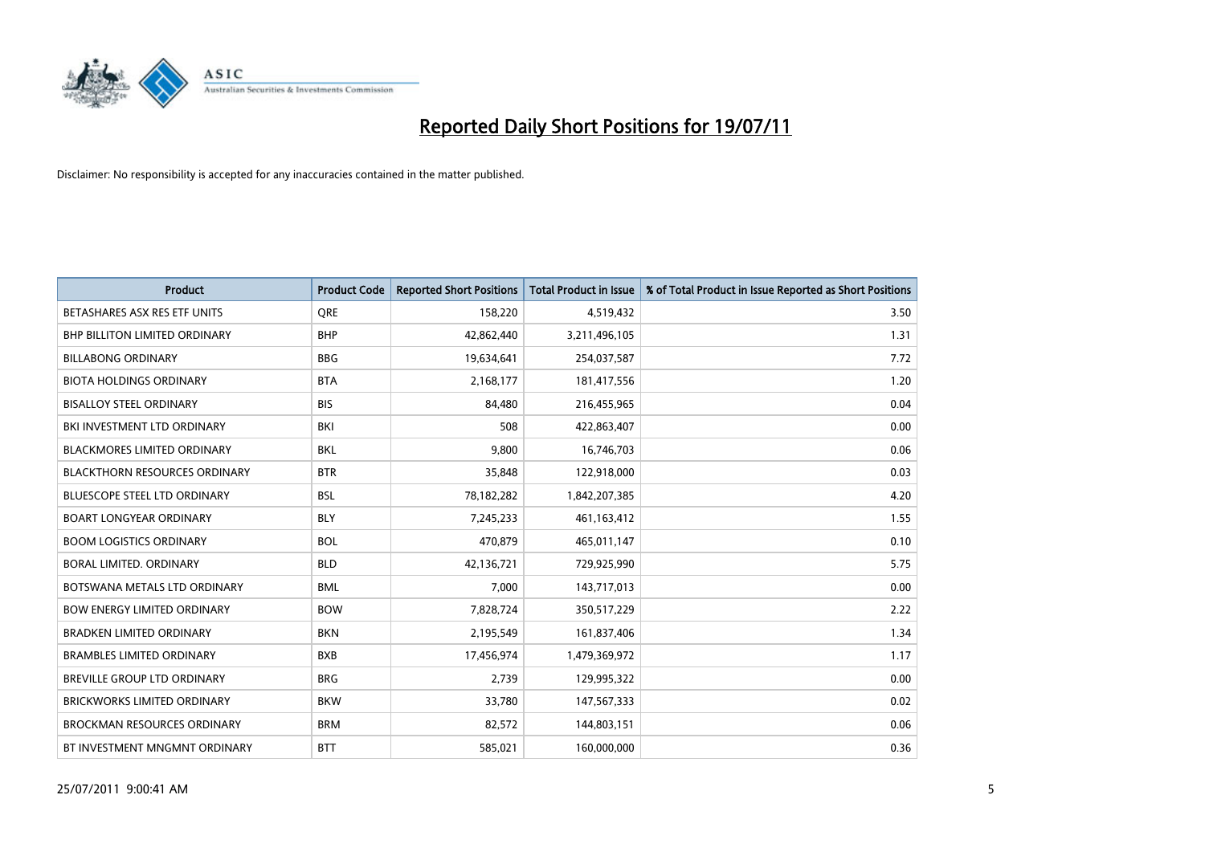

| <b>Product</b>                       | <b>Product Code</b> | <b>Reported Short Positions</b> | <b>Total Product in Issue</b> | % of Total Product in Issue Reported as Short Positions |
|--------------------------------------|---------------------|---------------------------------|-------------------------------|---------------------------------------------------------|
| BETASHARES ASX RES ETF UNITS         | <b>ORE</b>          | 158,220                         | 4,519,432                     | 3.50                                                    |
| <b>BHP BILLITON LIMITED ORDINARY</b> | <b>BHP</b>          | 42,862,440                      | 3,211,496,105                 | 1.31                                                    |
| <b>BILLABONG ORDINARY</b>            | <b>BBG</b>          | 19,634,641                      | 254,037,587                   | 7.72                                                    |
| <b>BIOTA HOLDINGS ORDINARY</b>       | <b>BTA</b>          | 2,168,177                       | 181,417,556                   | 1.20                                                    |
| <b>BISALLOY STEEL ORDINARY</b>       | <b>BIS</b>          | 84,480                          | 216,455,965                   | 0.04                                                    |
| BKI INVESTMENT LTD ORDINARY          | <b>BKI</b>          | 508                             | 422,863,407                   | 0.00                                                    |
| <b>BLACKMORES LIMITED ORDINARY</b>   | <b>BKL</b>          | 9,800                           | 16,746,703                    | 0.06                                                    |
| <b>BLACKTHORN RESOURCES ORDINARY</b> | <b>BTR</b>          | 35,848                          | 122,918,000                   | 0.03                                                    |
| <b>BLUESCOPE STEEL LTD ORDINARY</b>  | <b>BSL</b>          | 78,182,282                      | 1,842,207,385                 | 4.20                                                    |
| <b>BOART LONGYEAR ORDINARY</b>       | <b>BLY</b>          | 7,245,233                       | 461, 163, 412                 | 1.55                                                    |
| <b>BOOM LOGISTICS ORDINARY</b>       | <b>BOL</b>          | 470,879                         | 465,011,147                   | 0.10                                                    |
| BORAL LIMITED, ORDINARY              | <b>BLD</b>          | 42,136,721                      | 729,925,990                   | 5.75                                                    |
| BOTSWANA METALS LTD ORDINARY         | <b>BML</b>          | 7,000                           | 143,717,013                   | 0.00                                                    |
| <b>BOW ENERGY LIMITED ORDINARY</b>   | <b>BOW</b>          | 7,828,724                       | 350,517,229                   | 2.22                                                    |
| <b>BRADKEN LIMITED ORDINARY</b>      | <b>BKN</b>          | 2,195,549                       | 161,837,406                   | 1.34                                                    |
| <b>BRAMBLES LIMITED ORDINARY</b>     | <b>BXB</b>          | 17,456,974                      | 1,479,369,972                 | 1.17                                                    |
| BREVILLE GROUP LTD ORDINARY          | <b>BRG</b>          | 2,739                           | 129,995,322                   | 0.00                                                    |
| BRICKWORKS LIMITED ORDINARY          | <b>BKW</b>          | 33,780                          | 147,567,333                   | 0.02                                                    |
| <b>BROCKMAN RESOURCES ORDINARY</b>   | <b>BRM</b>          | 82,572                          | 144,803,151                   | 0.06                                                    |
| BT INVESTMENT MNGMNT ORDINARY        | <b>BTT</b>          | 585,021                         | 160,000,000                   | 0.36                                                    |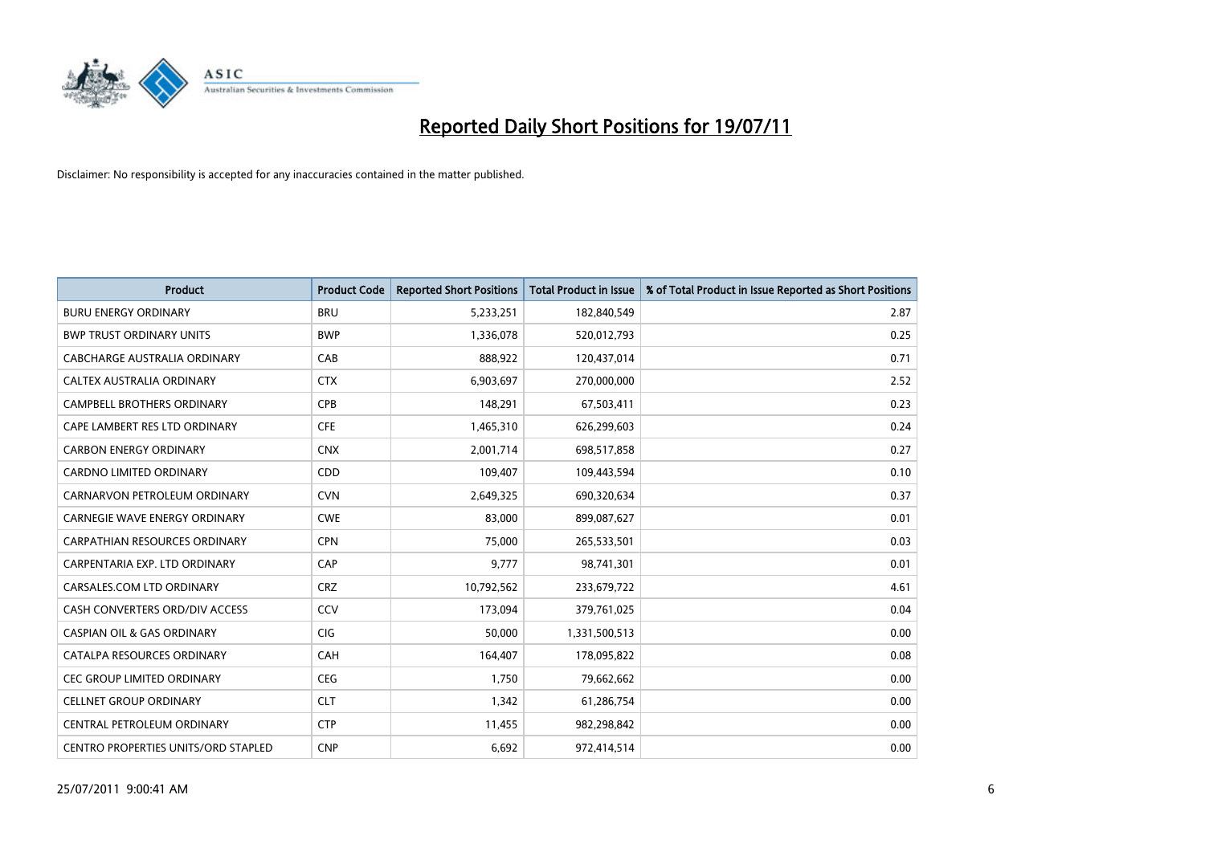

| <b>Product</b>                             | <b>Product Code</b> | <b>Reported Short Positions</b> | Total Product in Issue | % of Total Product in Issue Reported as Short Positions |
|--------------------------------------------|---------------------|---------------------------------|------------------------|---------------------------------------------------------|
| <b>BURU ENERGY ORDINARY</b>                | <b>BRU</b>          | 5,233,251                       | 182,840,549            | 2.87                                                    |
| <b>BWP TRUST ORDINARY UNITS</b>            | <b>BWP</b>          | 1,336,078                       | 520,012,793            | 0.25                                                    |
| CABCHARGE AUSTRALIA ORDINARY               | CAB                 | 888,922                         | 120,437,014            | 0.71                                                    |
| CALTEX AUSTRALIA ORDINARY                  | <b>CTX</b>          | 6,903,697                       | 270,000,000            | 2.52                                                    |
| <b>CAMPBELL BROTHERS ORDINARY</b>          | CPB                 | 148,291                         | 67,503,411             | 0.23                                                    |
| CAPE LAMBERT RES LTD ORDINARY              | <b>CFE</b>          | 1,465,310                       | 626,299,603            | 0.24                                                    |
| <b>CARBON ENERGY ORDINARY</b>              | <b>CNX</b>          | 2,001,714                       | 698,517,858            | 0.27                                                    |
| CARDNO LIMITED ORDINARY                    | CDD                 | 109,407                         | 109,443,594            | 0.10                                                    |
| CARNARVON PETROLEUM ORDINARY               | <b>CVN</b>          | 2,649,325                       | 690,320,634            | 0.37                                                    |
| <b>CARNEGIE WAVE ENERGY ORDINARY</b>       | <b>CWE</b>          | 83,000                          | 899,087,627            | 0.01                                                    |
| CARPATHIAN RESOURCES ORDINARY              | <b>CPN</b>          | 75,000                          | 265,533,501            | 0.03                                                    |
| CARPENTARIA EXP. LTD ORDINARY              | CAP                 | 9,777                           | 98,741,301             | 0.01                                                    |
| CARSALES.COM LTD ORDINARY                  | <b>CRZ</b>          | 10,792,562                      | 233,679,722            | 4.61                                                    |
| CASH CONVERTERS ORD/DIV ACCESS             | CCV                 | 173,094                         | 379,761,025            | 0.04                                                    |
| <b>CASPIAN OIL &amp; GAS ORDINARY</b>      | <b>CIG</b>          | 50,000                          | 1,331,500,513          | 0.00                                                    |
| CATALPA RESOURCES ORDINARY                 | CAH                 | 164,407                         | 178,095,822            | 0.08                                                    |
| <b>CEC GROUP LIMITED ORDINARY</b>          | <b>CEG</b>          | 1,750                           | 79,662,662             | 0.00                                                    |
| <b>CELLNET GROUP ORDINARY</b>              | <b>CLT</b>          | 1,342                           | 61,286,754             | 0.00                                                    |
| CENTRAL PETROLEUM ORDINARY                 | <b>CTP</b>          | 11,455                          | 982,298,842            | 0.00                                                    |
| <b>CENTRO PROPERTIES UNITS/ORD STAPLED</b> | <b>CNP</b>          | 6,692                           | 972,414,514            | 0.00                                                    |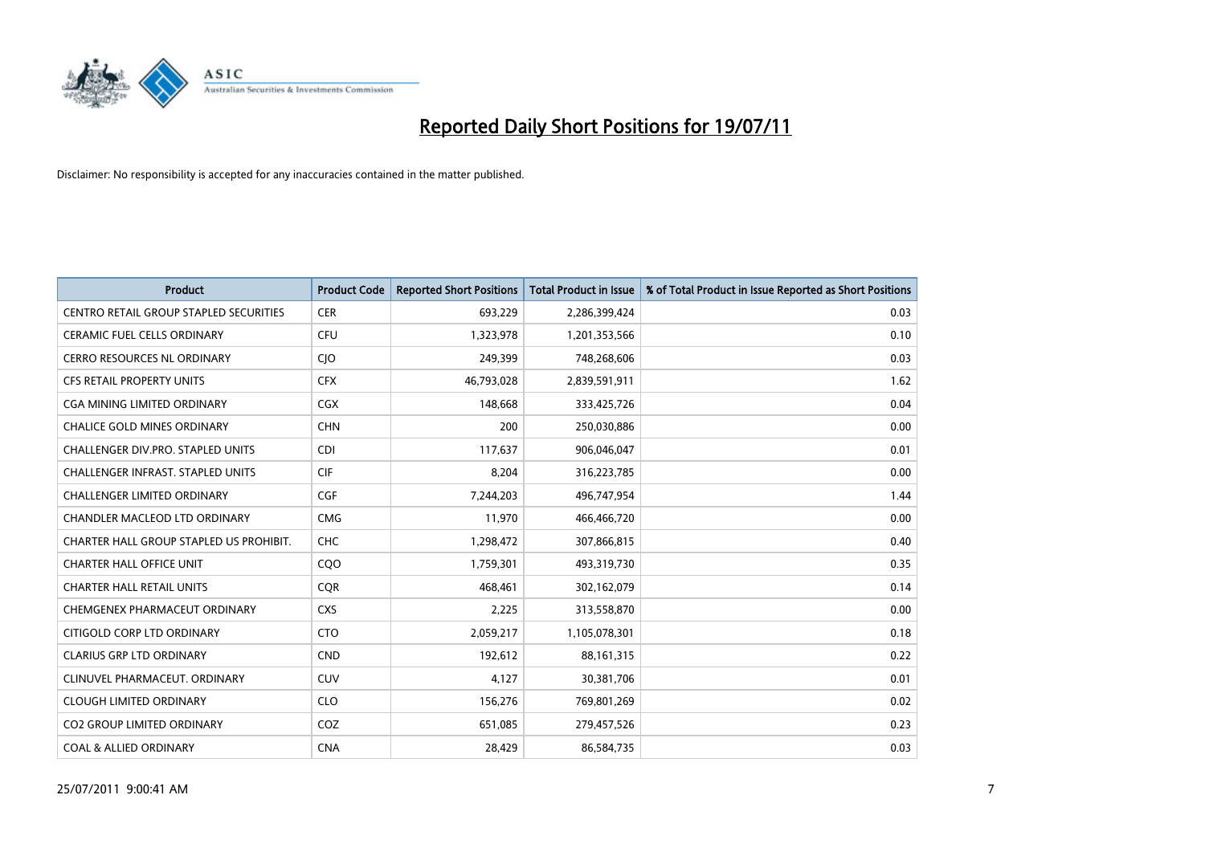

| <b>Product</b>                                | <b>Product Code</b> | <b>Reported Short Positions</b> | <b>Total Product in Issue</b> | % of Total Product in Issue Reported as Short Positions |
|-----------------------------------------------|---------------------|---------------------------------|-------------------------------|---------------------------------------------------------|
| <b>CENTRO RETAIL GROUP STAPLED SECURITIES</b> | <b>CER</b>          | 693,229                         | 2,286,399,424                 | 0.03                                                    |
| <b>CERAMIC FUEL CELLS ORDINARY</b>            | CFU                 | 1,323,978                       | 1,201,353,566                 | 0.10                                                    |
| <b>CERRO RESOURCES NL ORDINARY</b>            | <b>CJO</b>          | 249,399                         | 748,268,606                   | 0.03                                                    |
| CFS RETAIL PROPERTY UNITS                     | <b>CFX</b>          | 46,793,028                      | 2,839,591,911                 | 1.62                                                    |
| <b>CGA MINING LIMITED ORDINARY</b>            | <b>CGX</b>          | 148.668                         | 333,425,726                   | 0.04                                                    |
| <b>CHALICE GOLD MINES ORDINARY</b>            | <b>CHN</b>          | 200                             | 250,030,886                   | 0.00                                                    |
| CHALLENGER DIV.PRO. STAPLED UNITS             | <b>CDI</b>          | 117,637                         | 906,046,047                   | 0.01                                                    |
| <b>CHALLENGER INFRAST, STAPLED UNITS</b>      | <b>CIF</b>          | 8,204                           | 316,223,785                   | 0.00                                                    |
| CHALLENGER LIMITED ORDINARY                   | CGF                 | 7,244,203                       | 496,747,954                   | 1.44                                                    |
| <b>CHANDLER MACLEOD LTD ORDINARY</b>          | <b>CMG</b>          | 11,970                          | 466,466,720                   | 0.00                                                    |
| CHARTER HALL GROUP STAPLED US PROHIBIT.       | <b>CHC</b>          | 1,298,472                       | 307,866,815                   | 0.40                                                    |
| <b>CHARTER HALL OFFICE UNIT</b>               | COO                 | 1,759,301                       | 493,319,730                   | 0.35                                                    |
| <b>CHARTER HALL RETAIL UNITS</b>              | <b>COR</b>          | 468.461                         | 302,162,079                   | 0.14                                                    |
| CHEMGENEX PHARMACEUT ORDINARY                 | <b>CXS</b>          | 2,225                           | 313,558,870                   | 0.00                                                    |
| CITIGOLD CORP LTD ORDINARY                    | <b>CTO</b>          | 2,059,217                       | 1,105,078,301                 | 0.18                                                    |
| <b>CLARIUS GRP LTD ORDINARY</b>               | <b>CND</b>          | 192,612                         | 88,161,315                    | 0.22                                                    |
| CLINUVEL PHARMACEUT, ORDINARY                 | CUV                 | 4,127                           | 30,381,706                    | 0.01                                                    |
| <b>CLOUGH LIMITED ORDINARY</b>                | <b>CLO</b>          | 156,276                         | 769,801,269                   | 0.02                                                    |
| <b>CO2 GROUP LIMITED ORDINARY</b>             | COZ                 | 651,085                         | 279,457,526                   | 0.23                                                    |
| <b>COAL &amp; ALLIED ORDINARY</b>             | <b>CNA</b>          | 28,429                          | 86,584,735                    | 0.03                                                    |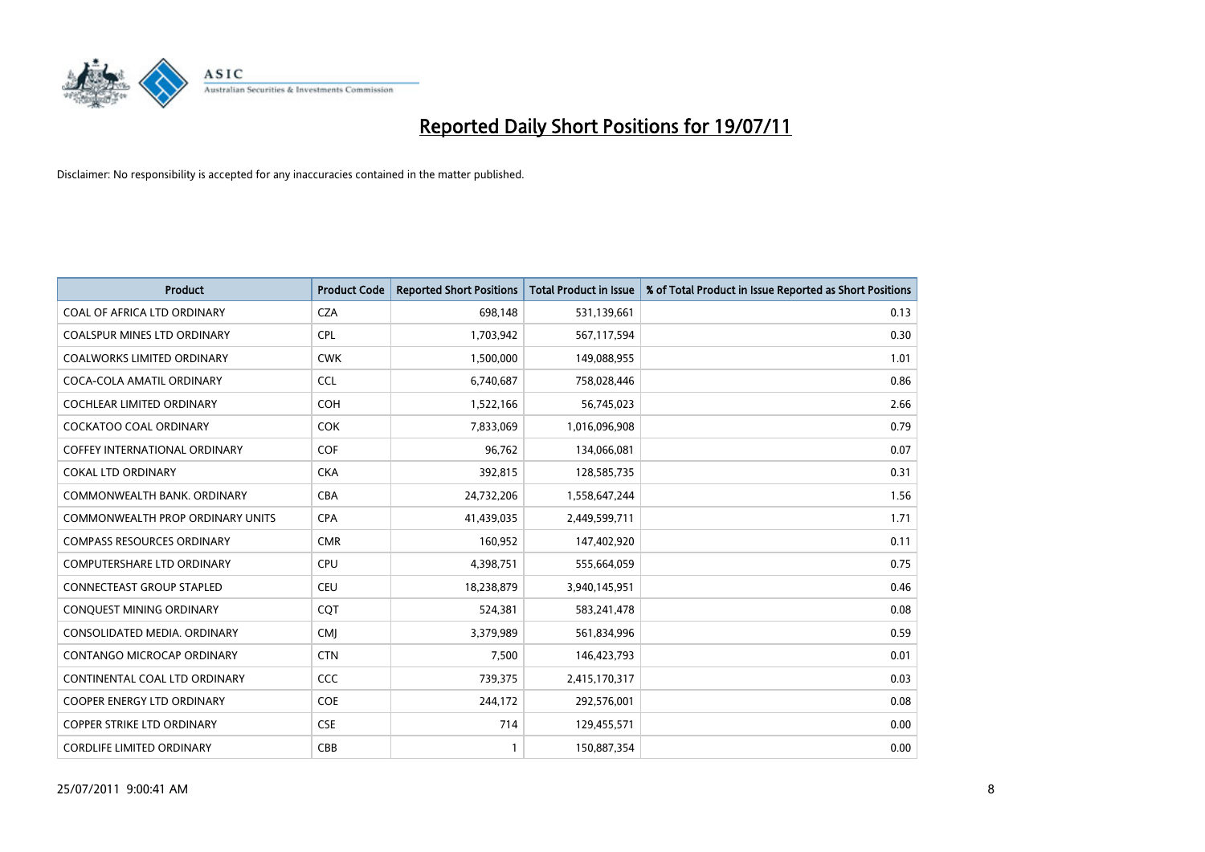

| <b>Product</b>                          | <b>Product Code</b> | <b>Reported Short Positions</b> | <b>Total Product in Issue</b> | % of Total Product in Issue Reported as Short Positions |
|-----------------------------------------|---------------------|---------------------------------|-------------------------------|---------------------------------------------------------|
| COAL OF AFRICA LTD ORDINARY             | <b>CZA</b>          | 698,148                         | 531,139,661                   | 0.13                                                    |
| <b>COALSPUR MINES LTD ORDINARY</b>      | <b>CPL</b>          | 1,703,942                       | 567,117,594                   | 0.30                                                    |
| <b>COALWORKS LIMITED ORDINARY</b>       | <b>CWK</b>          | 1,500,000                       | 149,088,955                   | 1.01                                                    |
| COCA-COLA AMATIL ORDINARY               | <b>CCL</b>          | 6,740,687                       | 758,028,446                   | 0.86                                                    |
| <b>COCHLEAR LIMITED ORDINARY</b>        | COH                 | 1,522,166                       | 56,745,023                    | 2.66                                                    |
| <b>COCKATOO COAL ORDINARY</b>           | <b>COK</b>          | 7,833,069                       | 1,016,096,908                 | 0.79                                                    |
| <b>COFFEY INTERNATIONAL ORDINARY</b>    | <b>COF</b>          | 96,762                          | 134,066,081                   | 0.07                                                    |
| <b>COKAL LTD ORDINARY</b>               | <b>CKA</b>          | 392,815                         | 128,585,735                   | 0.31                                                    |
| COMMONWEALTH BANK, ORDINARY             | <b>CBA</b>          | 24,732,206                      | 1,558,647,244                 | 1.56                                                    |
| <b>COMMONWEALTH PROP ORDINARY UNITS</b> | <b>CPA</b>          | 41,439,035                      | 2,449,599,711                 | 1.71                                                    |
| <b>COMPASS RESOURCES ORDINARY</b>       | <b>CMR</b>          | 160,952                         | 147,402,920                   | 0.11                                                    |
| <b>COMPUTERSHARE LTD ORDINARY</b>       | <b>CPU</b>          | 4,398,751                       | 555,664,059                   | 0.75                                                    |
| <b>CONNECTEAST GROUP STAPLED</b>        | CEU                 | 18,238,879                      | 3,940,145,951                 | 0.46                                                    |
| CONQUEST MINING ORDINARY                | COT                 | 524,381                         | 583,241,478                   | 0.08                                                    |
| CONSOLIDATED MEDIA, ORDINARY            | <b>CMI</b>          | 3,379,989                       | 561,834,996                   | 0.59                                                    |
| CONTANGO MICROCAP ORDINARY              | <b>CTN</b>          | 7,500                           | 146,423,793                   | 0.01                                                    |
| CONTINENTAL COAL LTD ORDINARY           | CCC                 | 739,375                         | 2,415,170,317                 | 0.03                                                    |
| COOPER ENERGY LTD ORDINARY              | <b>COE</b>          | 244,172                         | 292,576,001                   | 0.08                                                    |
| <b>COPPER STRIKE LTD ORDINARY</b>       | <b>CSE</b>          | 714                             | 129,455,571                   | 0.00                                                    |
| <b>CORDLIFE LIMITED ORDINARY</b>        | CBB                 |                                 | 150,887,354                   | 0.00                                                    |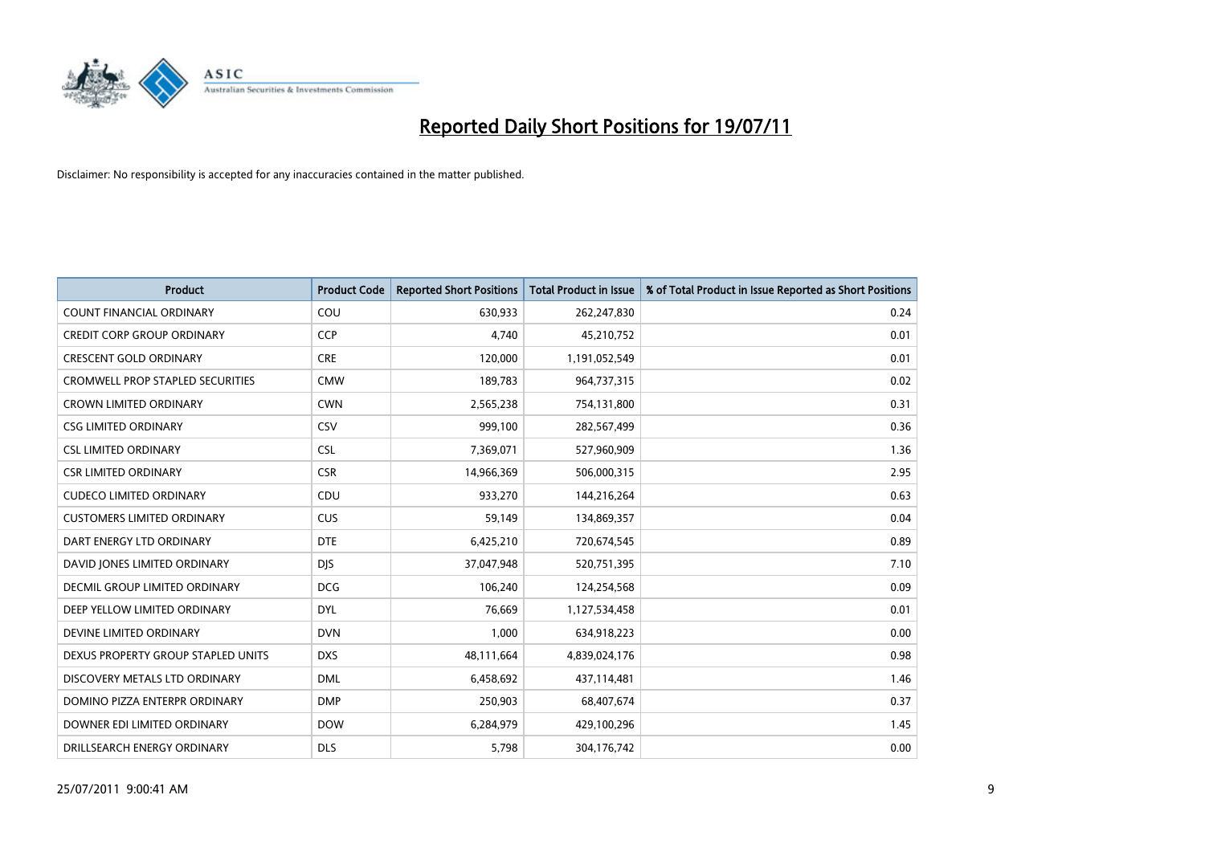

| <b>Product</b>                          | <b>Product Code</b> | <b>Reported Short Positions</b> | <b>Total Product in Issue</b> | % of Total Product in Issue Reported as Short Positions |
|-----------------------------------------|---------------------|---------------------------------|-------------------------------|---------------------------------------------------------|
| <b>COUNT FINANCIAL ORDINARY</b>         | COU                 | 630,933                         | 262,247,830                   | 0.24                                                    |
| <b>CREDIT CORP GROUP ORDINARY</b>       | <b>CCP</b>          | 4,740                           | 45,210,752                    | 0.01                                                    |
| <b>CRESCENT GOLD ORDINARY</b>           | <b>CRE</b>          | 120,000                         | 1,191,052,549                 | 0.01                                                    |
| <b>CROMWELL PROP STAPLED SECURITIES</b> | <b>CMW</b>          | 189,783                         | 964,737,315                   | 0.02                                                    |
| <b>CROWN LIMITED ORDINARY</b>           | <b>CWN</b>          | 2,565,238                       | 754,131,800                   | 0.31                                                    |
| <b>CSG LIMITED ORDINARY</b>             | CSV                 | 999,100                         | 282,567,499                   | 0.36                                                    |
| <b>CSL LIMITED ORDINARY</b>             | <b>CSL</b>          | 7,369,071                       | 527,960,909                   | 1.36                                                    |
| <b>CSR LIMITED ORDINARY</b>             | <b>CSR</b>          | 14,966,369                      | 506,000,315                   | 2.95                                                    |
| <b>CUDECO LIMITED ORDINARY</b>          | CDU                 | 933,270                         | 144,216,264                   | 0.63                                                    |
| <b>CUSTOMERS LIMITED ORDINARY</b>       | CUS                 | 59,149                          | 134,869,357                   | 0.04                                                    |
| DART ENERGY LTD ORDINARY                | <b>DTE</b>          | 6,425,210                       | 720,674,545                   | 0.89                                                    |
| DAVID JONES LIMITED ORDINARY            | <b>DJS</b>          | 37,047,948                      | 520,751,395                   | 7.10                                                    |
| <b>DECMIL GROUP LIMITED ORDINARY</b>    | <b>DCG</b>          | 106,240                         | 124,254,568                   | 0.09                                                    |
| DEEP YELLOW LIMITED ORDINARY            | <b>DYL</b>          | 76,669                          | 1,127,534,458                 | 0.01                                                    |
| DEVINE LIMITED ORDINARY                 | <b>DVN</b>          | 1,000                           | 634,918,223                   | 0.00                                                    |
| DEXUS PROPERTY GROUP STAPLED UNITS      | <b>DXS</b>          | 48,111,664                      | 4,839,024,176                 | 0.98                                                    |
| DISCOVERY METALS LTD ORDINARY           | <b>DML</b>          | 6,458,692                       | 437,114,481                   | 1.46                                                    |
| DOMINO PIZZA ENTERPR ORDINARY           | <b>DMP</b>          | 250,903                         | 68,407,674                    | 0.37                                                    |
| DOWNER EDI LIMITED ORDINARY             | <b>DOW</b>          | 6,284,979                       | 429,100,296                   | 1.45                                                    |
| DRILLSEARCH ENERGY ORDINARY             | <b>DLS</b>          | 5,798                           | 304,176,742                   | 0.00                                                    |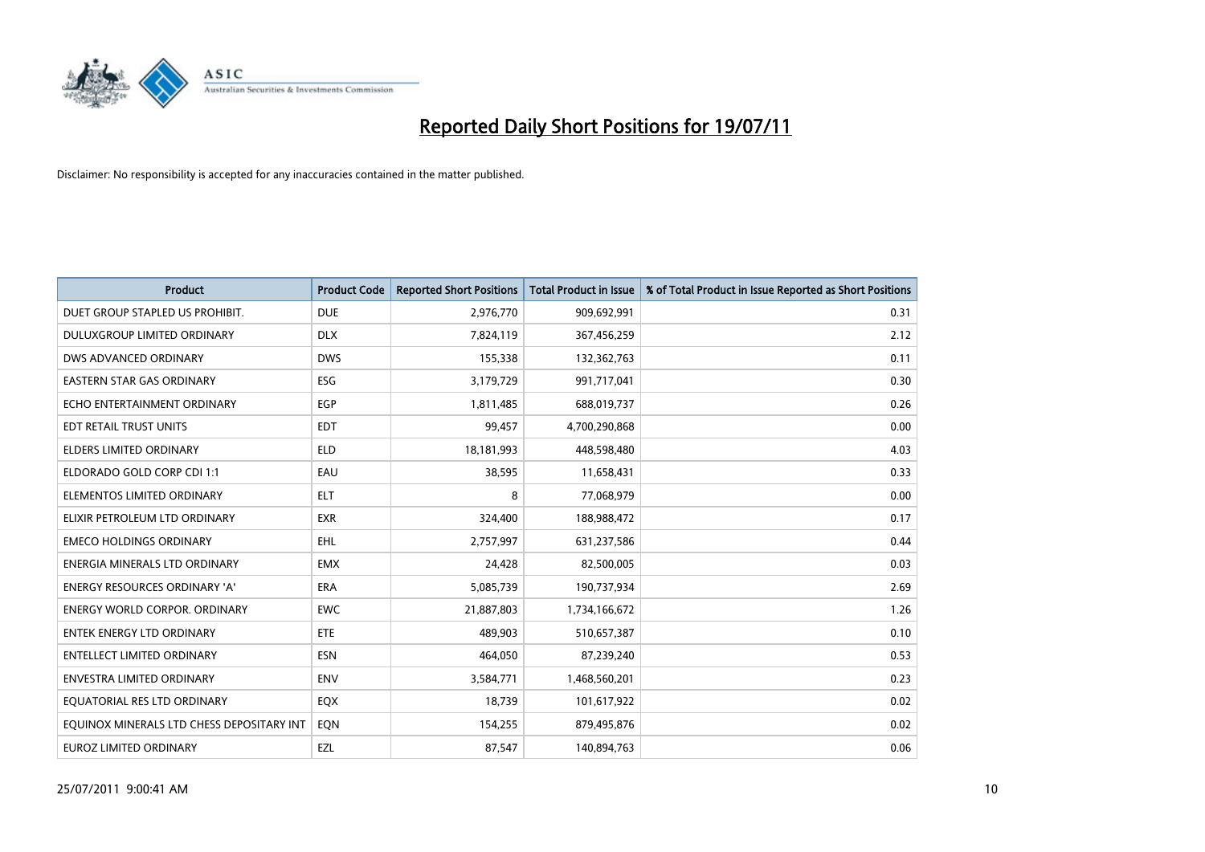

| <b>Product</b>                            | <b>Product Code</b> | <b>Reported Short Positions</b> | <b>Total Product in Issue</b> | % of Total Product in Issue Reported as Short Positions |
|-------------------------------------------|---------------------|---------------------------------|-------------------------------|---------------------------------------------------------|
| DUET GROUP STAPLED US PROHIBIT.           | <b>DUE</b>          | 2,976,770                       | 909,692,991                   | 0.31                                                    |
| DULUXGROUP LIMITED ORDINARY               | <b>DLX</b>          | 7,824,119                       | 367,456,259                   | 2.12                                                    |
| DWS ADVANCED ORDINARY                     | <b>DWS</b>          | 155,338                         | 132,362,763                   | 0.11                                                    |
| EASTERN STAR GAS ORDINARY                 | ESG                 | 3,179,729                       | 991,717,041                   | 0.30                                                    |
| ECHO ENTERTAINMENT ORDINARY               | EGP                 | 1,811,485                       | 688,019,737                   | 0.26                                                    |
| EDT RETAIL TRUST UNITS                    | <b>EDT</b>          | 99,457                          | 4,700,290,868                 | 0.00                                                    |
| <b>ELDERS LIMITED ORDINARY</b>            | <b>ELD</b>          | 18,181,993                      | 448,598,480                   | 4.03                                                    |
| ELDORADO GOLD CORP CDI 1:1                | EAU                 | 38,595                          | 11,658,431                    | 0.33                                                    |
| ELEMENTOS LIMITED ORDINARY                | <b>ELT</b>          | 8                               | 77,068,979                    | 0.00                                                    |
| ELIXIR PETROLEUM LTD ORDINARY             | <b>EXR</b>          | 324,400                         | 188,988,472                   | 0.17                                                    |
| <b>EMECO HOLDINGS ORDINARY</b>            | EHL                 | 2,757,997                       | 631,237,586                   | 0.44                                                    |
| ENERGIA MINERALS LTD ORDINARY             | <b>EMX</b>          | 24,428                          | 82,500,005                    | 0.03                                                    |
| <b>ENERGY RESOURCES ORDINARY 'A'</b>      | <b>ERA</b>          | 5,085,739                       | 190,737,934                   | 2.69                                                    |
| <b>ENERGY WORLD CORPOR, ORDINARY</b>      | <b>EWC</b>          | 21,887,803                      | 1,734,166,672                 | 1.26                                                    |
| <b>ENTEK ENERGY LTD ORDINARY</b>          | <b>ETE</b>          | 489.903                         | 510,657,387                   | 0.10                                                    |
| ENTELLECT LIMITED ORDINARY                | <b>ESN</b>          | 464,050                         | 87,239,240                    | 0.53                                                    |
| <b>ENVESTRA LIMITED ORDINARY</b>          | <b>ENV</b>          | 3,584,771                       | 1,468,560,201                 | 0.23                                                    |
| EQUATORIAL RES LTD ORDINARY               | EQX                 | 18,739                          | 101,617,922                   | 0.02                                                    |
| EOUINOX MINERALS LTD CHESS DEPOSITARY INT | <b>EON</b>          | 154,255                         | 879,495,876                   | 0.02                                                    |
| <b>EUROZ LIMITED ORDINARY</b>             | EZL                 | 87,547                          | 140,894,763                   | 0.06                                                    |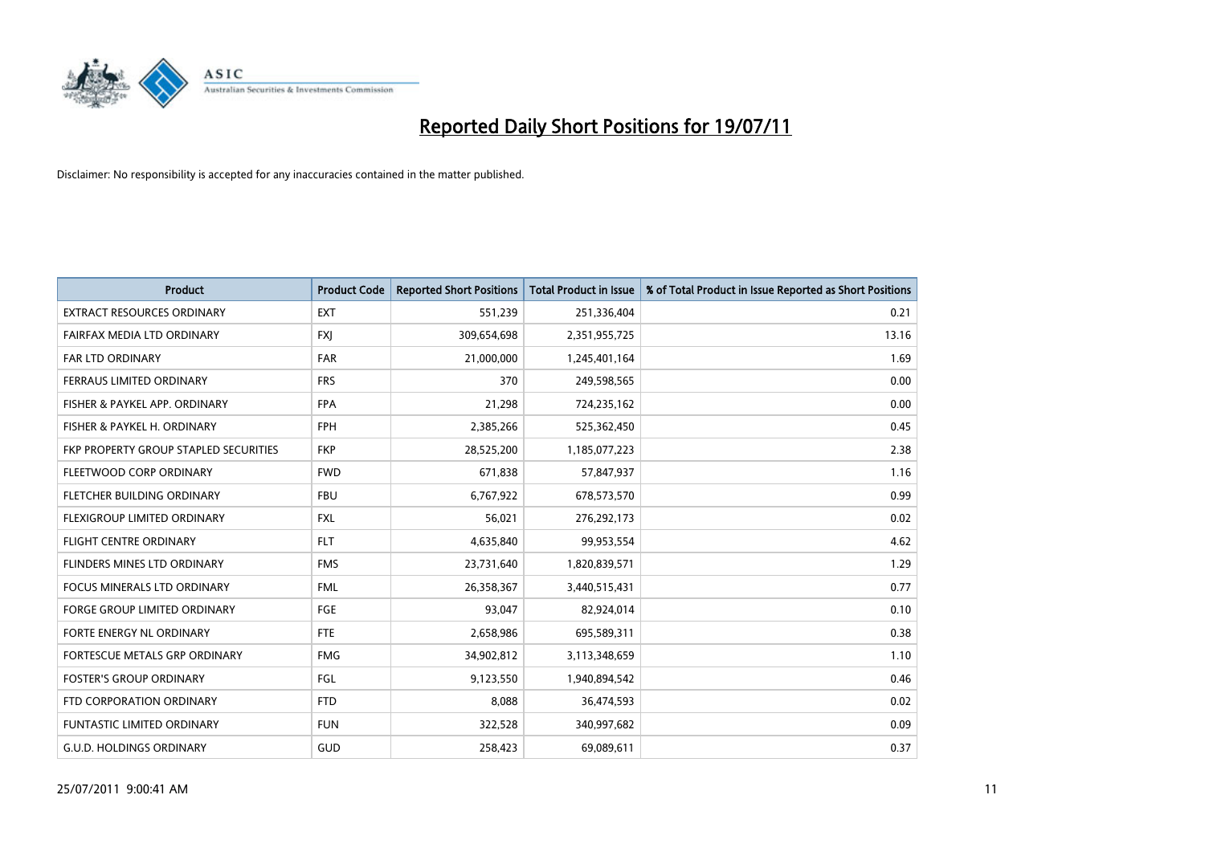

| <b>Product</b>                               | <b>Product Code</b> | <b>Reported Short Positions</b> | <b>Total Product in Issue</b> | % of Total Product in Issue Reported as Short Positions |
|----------------------------------------------|---------------------|---------------------------------|-------------------------------|---------------------------------------------------------|
| <b>EXTRACT RESOURCES ORDINARY</b>            | <b>EXT</b>          | 551,239                         | 251,336,404                   | 0.21                                                    |
| FAIRFAX MEDIA LTD ORDINARY                   | <b>FXI</b>          | 309,654,698                     | 2,351,955,725                 | 13.16                                                   |
| <b>FAR LTD ORDINARY</b>                      | <b>FAR</b>          | 21,000,000                      | 1,245,401,164                 | 1.69                                                    |
| FERRAUS LIMITED ORDINARY                     | <b>FRS</b>          | 370                             | 249,598,565                   | 0.00                                                    |
| FISHER & PAYKEL APP. ORDINARY                | <b>FPA</b>          | 21,298                          | 724,235,162                   | 0.00                                                    |
| FISHER & PAYKEL H. ORDINARY                  | <b>FPH</b>          | 2,385,266                       | 525,362,450                   | 0.45                                                    |
| <b>FKP PROPERTY GROUP STAPLED SECURITIES</b> | <b>FKP</b>          | 28,525,200                      | 1,185,077,223                 | 2.38                                                    |
| FLEETWOOD CORP ORDINARY                      | <b>FWD</b>          | 671,838                         | 57,847,937                    | 1.16                                                    |
| FLETCHER BUILDING ORDINARY                   | <b>FBU</b>          | 6,767,922                       | 678,573,570                   | 0.99                                                    |
| FLEXIGROUP LIMITED ORDINARY                  | <b>FXL</b>          | 56,021                          | 276,292,173                   | 0.02                                                    |
| FLIGHT CENTRE ORDINARY                       | <b>FLT</b>          | 4,635,840                       | 99,953,554                    | 4.62                                                    |
| FLINDERS MINES LTD ORDINARY                  | <b>FMS</b>          | 23,731,640                      | 1,820,839,571                 | 1.29                                                    |
| <b>FOCUS MINERALS LTD ORDINARY</b>           | <b>FML</b>          | 26,358,367                      | 3,440,515,431                 | 0.77                                                    |
| <b>FORGE GROUP LIMITED ORDINARY</b>          | FGE                 | 93,047                          | 82,924,014                    | 0.10                                                    |
| FORTE ENERGY NL ORDINARY                     | <b>FTE</b>          | 2,658,986                       | 695,589,311                   | 0.38                                                    |
| FORTESCUE METALS GRP ORDINARY                | <b>FMG</b>          | 34,902,812                      | 3,113,348,659                 | 1.10                                                    |
| <b>FOSTER'S GROUP ORDINARY</b>               | <b>FGL</b>          | 9,123,550                       | 1,940,894,542                 | 0.46                                                    |
| FTD CORPORATION ORDINARY                     | <b>FTD</b>          | 8,088                           | 36,474,593                    | 0.02                                                    |
| FUNTASTIC LIMITED ORDINARY                   | <b>FUN</b>          | 322,528                         | 340,997,682                   | 0.09                                                    |
| G.U.D. HOLDINGS ORDINARY                     | GUD                 | 258,423                         | 69,089,611                    | 0.37                                                    |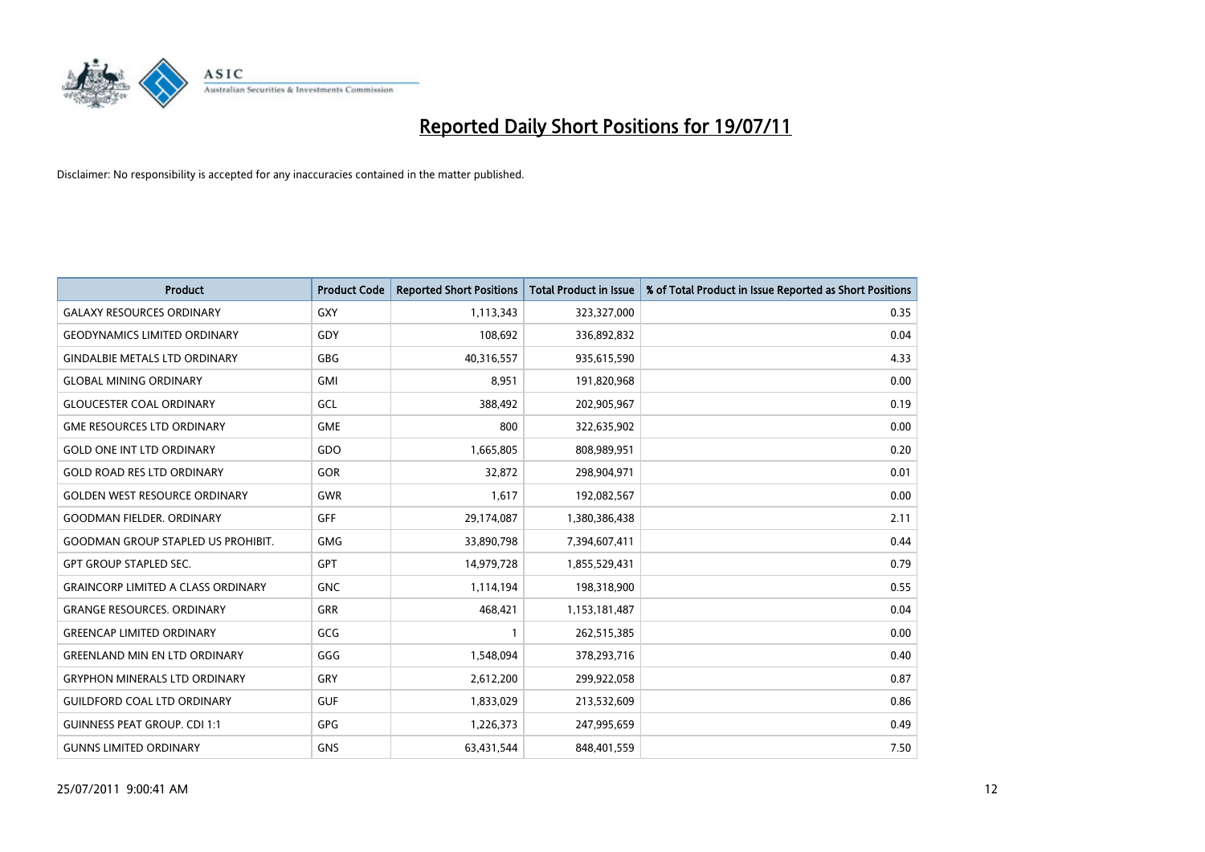

| <b>Product</b>                            | <b>Product Code</b> | <b>Reported Short Positions</b> | <b>Total Product in Issue</b> | % of Total Product in Issue Reported as Short Positions |
|-------------------------------------------|---------------------|---------------------------------|-------------------------------|---------------------------------------------------------|
| <b>GALAXY RESOURCES ORDINARY</b>          | <b>GXY</b>          | 1,113,343                       | 323,327,000                   | 0.35                                                    |
| <b>GEODYNAMICS LIMITED ORDINARY</b>       | GDY                 | 108,692                         | 336,892,832                   | 0.04                                                    |
| <b>GINDALBIE METALS LTD ORDINARY</b>      | <b>GBG</b>          | 40,316,557                      | 935,615,590                   | 4.33                                                    |
| <b>GLOBAL MINING ORDINARY</b>             | <b>GMI</b>          | 8,951                           | 191,820,968                   | 0.00                                                    |
| <b>GLOUCESTER COAL ORDINARY</b>           | GCL                 | 388,492                         | 202,905,967                   | 0.19                                                    |
| <b>GME RESOURCES LTD ORDINARY</b>         | <b>GME</b>          | 800                             | 322,635,902                   | 0.00                                                    |
| <b>GOLD ONE INT LTD ORDINARY</b>          | GDO                 | 1,665,805                       | 808,989,951                   | 0.20                                                    |
| <b>GOLD ROAD RES LTD ORDINARY</b>         | <b>GOR</b>          | 32,872                          | 298,904,971                   | 0.01                                                    |
| <b>GOLDEN WEST RESOURCE ORDINARY</b>      | <b>GWR</b>          | 1,617                           | 192,082,567                   | 0.00                                                    |
| <b>GOODMAN FIELDER, ORDINARY</b>          | <b>GFF</b>          | 29,174,087                      | 1,380,386,438                 | 2.11                                                    |
| <b>GOODMAN GROUP STAPLED US PROHIBIT.</b> | <b>GMG</b>          | 33,890,798                      | 7,394,607,411                 | 0.44                                                    |
| <b>GPT GROUP STAPLED SEC.</b>             | <b>GPT</b>          | 14,979,728                      | 1,855,529,431                 | 0.79                                                    |
| <b>GRAINCORP LIMITED A CLASS ORDINARY</b> | <b>GNC</b>          | 1,114,194                       | 198,318,900                   | 0.55                                                    |
| <b>GRANGE RESOURCES, ORDINARY</b>         | <b>GRR</b>          | 468,421                         | 1,153,181,487                 | 0.04                                                    |
| <b>GREENCAP LIMITED ORDINARY</b>          | GCG                 |                                 | 262,515,385                   | 0.00                                                    |
| <b>GREENLAND MIN EN LTD ORDINARY</b>      | GGG                 | 1,548,094                       | 378,293,716                   | 0.40                                                    |
| <b>GRYPHON MINERALS LTD ORDINARY</b>      | GRY                 | 2,612,200                       | 299,922,058                   | 0.87                                                    |
| <b>GUILDFORD COAL LTD ORDINARY</b>        | <b>GUF</b>          | 1,833,029                       | 213,532,609                   | 0.86                                                    |
| <b>GUINNESS PEAT GROUP. CDI 1:1</b>       | GPG                 | 1,226,373                       | 247,995,659                   | 0.49                                                    |
| <b>GUNNS LIMITED ORDINARY</b>             | <b>GNS</b>          | 63,431,544                      | 848,401,559                   | 7.50                                                    |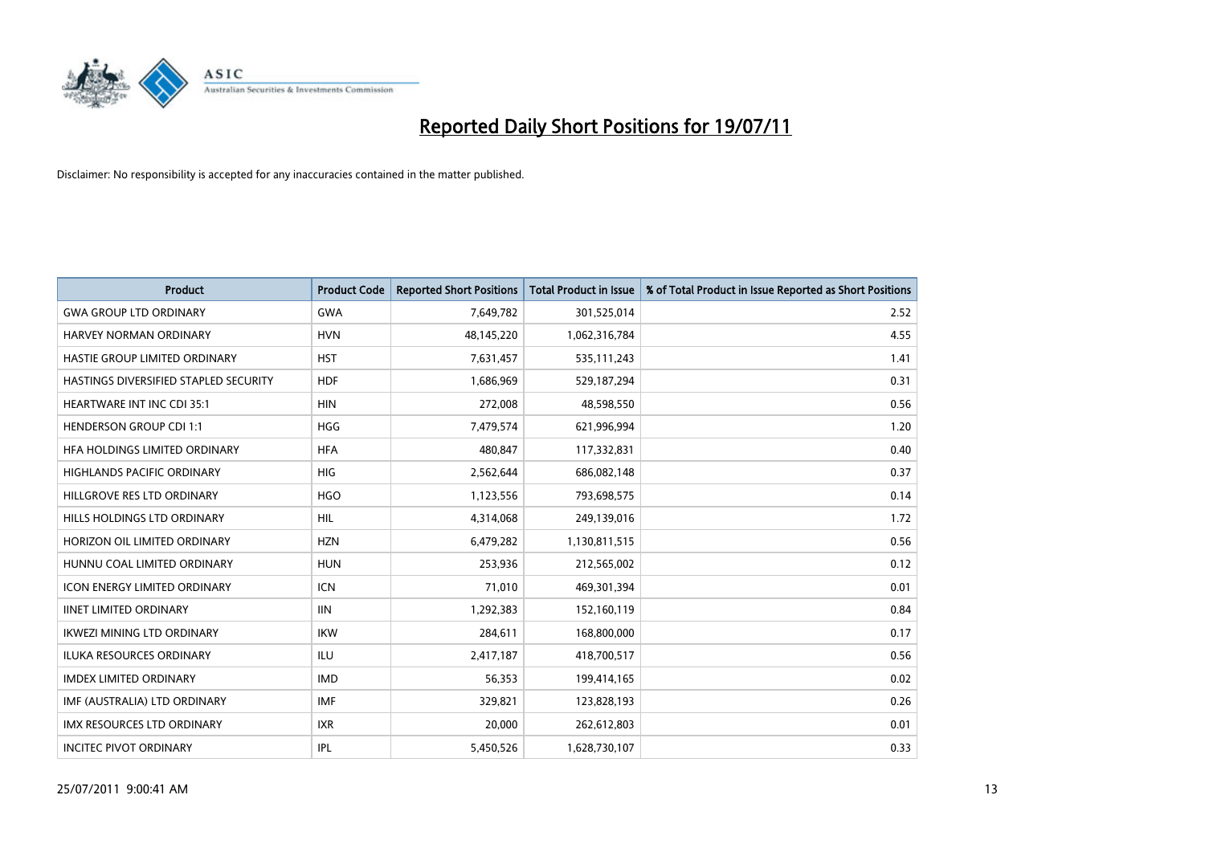

| <b>Product</b>                        | <b>Product Code</b> | <b>Reported Short Positions</b> | <b>Total Product in Issue</b> | % of Total Product in Issue Reported as Short Positions |
|---------------------------------------|---------------------|---------------------------------|-------------------------------|---------------------------------------------------------|
| <b>GWA GROUP LTD ORDINARY</b>         | <b>GWA</b>          | 7,649,782                       | 301,525,014                   | 2.52                                                    |
| HARVEY NORMAN ORDINARY                | <b>HVN</b>          | 48,145,220                      | 1,062,316,784                 | 4.55                                                    |
| HASTIE GROUP LIMITED ORDINARY         | <b>HST</b>          | 7,631,457                       | 535,111,243                   | 1.41                                                    |
| HASTINGS DIVERSIFIED STAPLED SECURITY | <b>HDF</b>          | 1,686,969                       | 529,187,294                   | 0.31                                                    |
| <b>HEARTWARE INT INC CDI 35:1</b>     | <b>HIN</b>          | 272,008                         | 48,598,550                    | 0.56                                                    |
| <b>HENDERSON GROUP CDI 1:1</b>        | <b>HGG</b>          | 7,479,574                       | 621,996,994                   | 1.20                                                    |
| HEA HOLDINGS LIMITED ORDINARY         | <b>HFA</b>          | 480.847                         | 117,332,831                   | 0.40                                                    |
| HIGHLANDS PACIFIC ORDINARY            | <b>HIG</b>          | 2,562,644                       | 686,082,148                   | 0.37                                                    |
| HILLGROVE RES LTD ORDINARY            | <b>HGO</b>          | 1,123,556                       | 793,698,575                   | 0.14                                                    |
| HILLS HOLDINGS LTD ORDINARY           | <b>HIL</b>          | 4,314,068                       | 249,139,016                   | 1.72                                                    |
| HORIZON OIL LIMITED ORDINARY          | <b>HZN</b>          | 6,479,282                       | 1,130,811,515                 | 0.56                                                    |
| HUNNU COAL LIMITED ORDINARY           | <b>HUN</b>          | 253,936                         | 212,565,002                   | 0.12                                                    |
| <b>ICON ENERGY LIMITED ORDINARY</b>   | <b>ICN</b>          | 71,010                          | 469,301,394                   | 0.01                                                    |
| <b>IINET LIMITED ORDINARY</b>         | <b>IIN</b>          | 1,292,383                       | 152,160,119                   | 0.84                                                    |
| <b>IKWEZI MINING LTD ORDINARY</b>     | <b>IKW</b>          | 284,611                         | 168,800,000                   | 0.17                                                    |
| <b>ILUKA RESOURCES ORDINARY</b>       | <b>ILU</b>          | 2,417,187                       | 418,700,517                   | 0.56                                                    |
| <b>IMDEX LIMITED ORDINARY</b>         | <b>IMD</b>          | 56,353                          | 199,414,165                   | 0.02                                                    |
| IMF (AUSTRALIA) LTD ORDINARY          | <b>IMF</b>          | 329,821                         | 123,828,193                   | 0.26                                                    |
| IMX RESOURCES LTD ORDINARY            | <b>IXR</b>          | 20,000                          | 262,612,803                   | 0.01                                                    |
| <b>INCITEC PIVOT ORDINARY</b>         | <b>IPL</b>          | 5,450,526                       | 1,628,730,107                 | 0.33                                                    |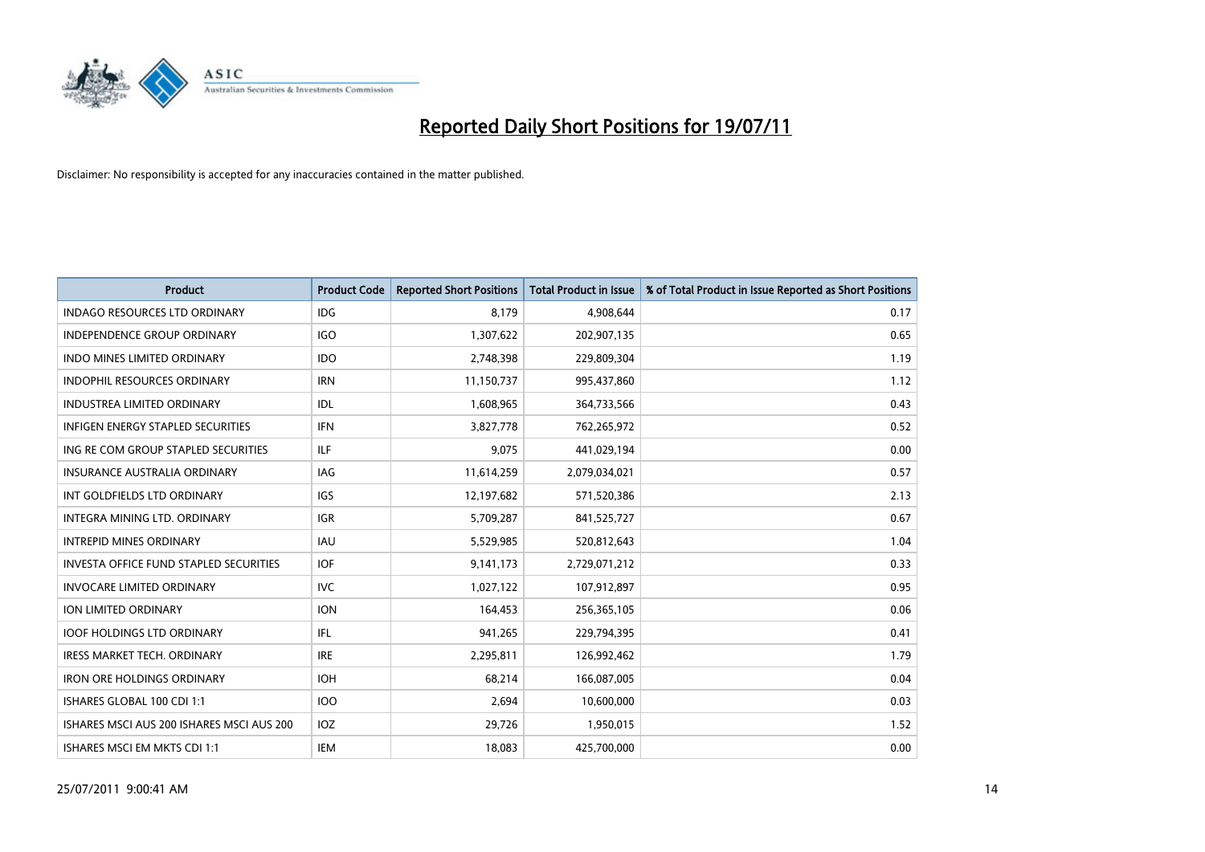

| <b>Product</b>                                | <b>Product Code</b> | <b>Reported Short Positions</b> | <b>Total Product in Issue</b> | % of Total Product in Issue Reported as Short Positions |
|-----------------------------------------------|---------------------|---------------------------------|-------------------------------|---------------------------------------------------------|
| <b>INDAGO RESOURCES LTD ORDINARY</b>          | <b>IDG</b>          | 8,179                           | 4,908,644                     | 0.17                                                    |
| INDEPENDENCE GROUP ORDINARY                   | <b>IGO</b>          | 1,307,622                       | 202,907,135                   | 0.65                                                    |
| <b>INDO MINES LIMITED ORDINARY</b>            | <b>IDO</b>          | 2,748,398                       | 229,809,304                   | 1.19                                                    |
| <b>INDOPHIL RESOURCES ORDINARY</b>            | <b>IRN</b>          | 11,150,737                      | 995,437,860                   | 1.12                                                    |
| <b>INDUSTREA LIMITED ORDINARY</b>             | IDL                 | 1,608,965                       | 364,733,566                   | 0.43                                                    |
| <b>INFIGEN ENERGY STAPLED SECURITIES</b>      | <b>IFN</b>          | 3,827,778                       | 762,265,972                   | 0.52                                                    |
| ING RE COM GROUP STAPLED SECURITIES           | ILF                 | 9,075                           | 441,029,194                   | 0.00                                                    |
| <b>INSURANCE AUSTRALIA ORDINARY</b>           | <b>IAG</b>          | 11,614,259                      | 2,079,034,021                 | 0.57                                                    |
| INT GOLDFIELDS LTD ORDINARY                   | IGS                 | 12,197,682                      | 571,520,386                   | 2.13                                                    |
| INTEGRA MINING LTD, ORDINARY                  | <b>IGR</b>          | 5,709,287                       | 841,525,727                   | 0.67                                                    |
| <b>INTREPID MINES ORDINARY</b>                | <b>IAU</b>          | 5,529,985                       | 520,812,643                   | 1.04                                                    |
| <b>INVESTA OFFICE FUND STAPLED SECURITIES</b> | <b>IOF</b>          | 9,141,173                       | 2,729,071,212                 | 0.33                                                    |
| <b>INVOCARE LIMITED ORDINARY</b>              | <b>IVC</b>          | 1,027,122                       | 107,912,897                   | 0.95                                                    |
| <b>ION LIMITED ORDINARY</b>                   | <b>ION</b>          | 164,453                         | 256,365,105                   | 0.06                                                    |
| <b>IOOF HOLDINGS LTD ORDINARY</b>             | IFL                 | 941,265                         | 229,794,395                   | 0.41                                                    |
| <b>IRESS MARKET TECH. ORDINARY</b>            | <b>IRE</b>          | 2,295,811                       | 126,992,462                   | 1.79                                                    |
| <b>IRON ORE HOLDINGS ORDINARY</b>             | <b>IOH</b>          | 68,214                          | 166,087,005                   | 0.04                                                    |
| ISHARES GLOBAL 100 CDI 1:1                    | <b>IOO</b>          | 2,694                           | 10,600,000                    | 0.03                                                    |
| ISHARES MSCI AUS 200 ISHARES MSCI AUS 200     | IOZ                 | 29,726                          | 1,950,015                     | 1.52                                                    |
| ISHARES MSCI EM MKTS CDI 1:1                  | IEM                 | 18,083                          | 425,700,000                   | 0.00                                                    |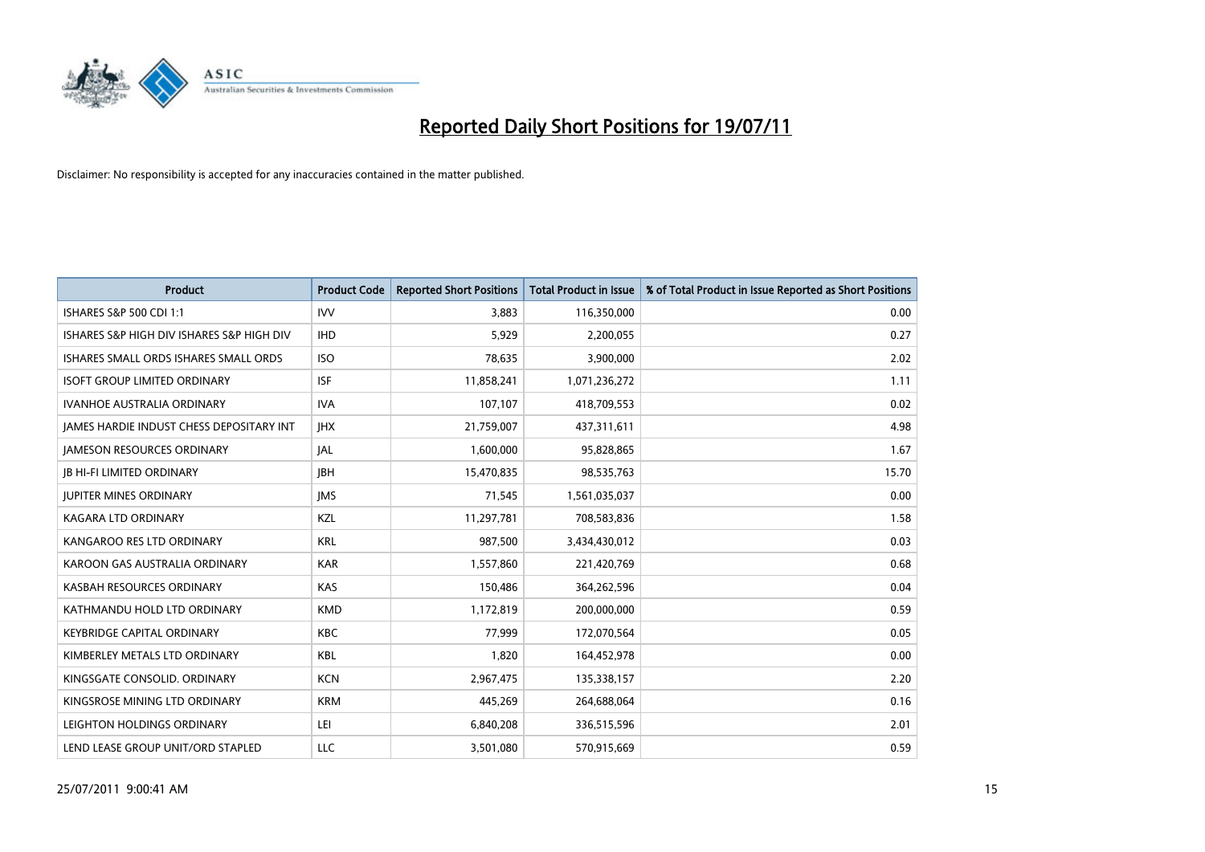

| <b>Product</b>                                  | <b>Product Code</b> | <b>Reported Short Positions</b> | Total Product in Issue | % of Total Product in Issue Reported as Short Positions |
|-------------------------------------------------|---------------------|---------------------------------|------------------------|---------------------------------------------------------|
| ISHARES S&P 500 CDI 1:1                         | <b>IVV</b>          | 3.883                           | 116,350,000            | 0.00                                                    |
| ISHARES S&P HIGH DIV ISHARES S&P HIGH DIV       | <b>IHD</b>          | 5,929                           | 2,200,055              | 0.27                                                    |
| ISHARES SMALL ORDS ISHARES SMALL ORDS           | <b>ISO</b>          | 78,635                          | 3,900,000              | 2.02                                                    |
| <b>ISOFT GROUP LIMITED ORDINARY</b>             | <b>ISF</b>          | 11,858,241                      | 1,071,236,272          | 1.11                                                    |
| <b>IVANHOE AUSTRALIA ORDINARY</b>               | <b>IVA</b>          | 107,107                         | 418,709,553            | 0.02                                                    |
| <b>JAMES HARDIE INDUST CHESS DEPOSITARY INT</b> | <b>IHX</b>          | 21,759,007                      | 437,311,611            | 4.98                                                    |
| <b>JAMESON RESOURCES ORDINARY</b>               | JAL                 | 1,600,000                       | 95,828,865             | 1.67                                                    |
| <b>JB HI-FI LIMITED ORDINARY</b>                | <b>IBH</b>          | 15,470,835                      | 98,535,763             | 15.70                                                   |
| <b>JUPITER MINES ORDINARY</b>                   | <b>IMS</b>          | 71,545                          | 1,561,035,037          | 0.00                                                    |
| <b>KAGARA LTD ORDINARY</b>                      | KZL                 | 11,297,781                      | 708,583,836            | 1.58                                                    |
| KANGAROO RES LTD ORDINARY                       | <b>KRL</b>          | 987,500                         | 3,434,430,012          | 0.03                                                    |
| KAROON GAS AUSTRALIA ORDINARY                   | <b>KAR</b>          | 1,557,860                       | 221,420,769            | 0.68                                                    |
| KASBAH RESOURCES ORDINARY                       | <b>KAS</b>          | 150,486                         | 364,262,596            | 0.04                                                    |
| KATHMANDU HOLD LTD ORDINARY                     | <b>KMD</b>          | 1,172,819                       | 200,000,000            | 0.59                                                    |
| <b>KEYBRIDGE CAPITAL ORDINARY</b>               | <b>KBC</b>          | 77,999                          | 172,070,564            | 0.05                                                    |
| KIMBERLEY METALS LTD ORDINARY                   | <b>KBL</b>          | 1,820                           | 164,452,978            | 0.00                                                    |
| KINGSGATE CONSOLID. ORDINARY                    | <b>KCN</b>          | 2,967,475                       | 135,338,157            | 2.20                                                    |
| KINGSROSE MINING LTD ORDINARY                   | <b>KRM</b>          | 445,269                         | 264,688,064            | 0.16                                                    |
| LEIGHTON HOLDINGS ORDINARY                      | LEI                 | 6,840,208                       | 336,515,596            | 2.01                                                    |
| LEND LEASE GROUP UNIT/ORD STAPLED               | LLC                 | 3,501,080                       | 570,915,669            | 0.59                                                    |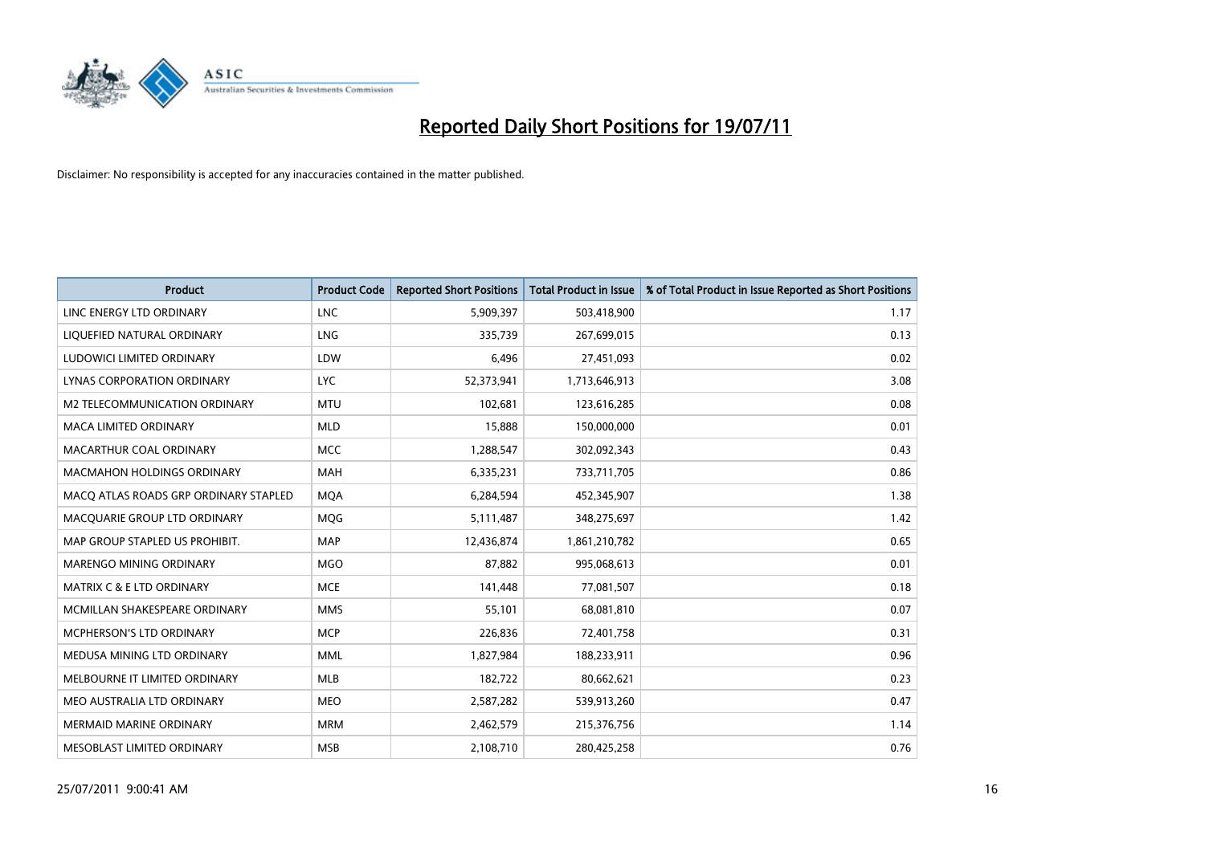

| <b>Product</b>                        | <b>Product Code</b> | <b>Reported Short Positions</b> | <b>Total Product in Issue</b> | % of Total Product in Issue Reported as Short Positions |
|---------------------------------------|---------------------|---------------------------------|-------------------------------|---------------------------------------------------------|
| LINC ENERGY LTD ORDINARY              | <b>LNC</b>          | 5,909,397                       | 503,418,900                   | 1.17                                                    |
| LIQUEFIED NATURAL ORDINARY            | LNG                 | 335,739                         | 267,699,015                   | 0.13                                                    |
| LUDOWICI LIMITED ORDINARY             | LDW                 | 6,496                           | 27,451,093                    | 0.02                                                    |
| LYNAS CORPORATION ORDINARY            | <b>LYC</b>          | 52,373,941                      | 1,713,646,913                 | 3.08                                                    |
| M2 TELECOMMUNICATION ORDINARY         | <b>MTU</b>          | 102,681                         | 123,616,285                   | 0.08                                                    |
| MACA LIMITED ORDINARY                 | <b>MLD</b>          | 15,888                          | 150,000,000                   | 0.01                                                    |
| MACARTHUR COAL ORDINARY               | <b>MCC</b>          | 1,288,547                       | 302,092,343                   | 0.43                                                    |
| MACMAHON HOLDINGS ORDINARY            | <b>MAH</b>          | 6,335,231                       | 733,711,705                   | 0.86                                                    |
| MACO ATLAS ROADS GRP ORDINARY STAPLED | <b>MOA</b>          | 6,284,594                       | 452,345,907                   | 1.38                                                    |
| MACQUARIE GROUP LTD ORDINARY          | MQG                 | 5,111,487                       | 348,275,697                   | 1.42                                                    |
| MAP GROUP STAPLED US PROHIBIT.        | <b>MAP</b>          | 12,436,874                      | 1,861,210,782                 | 0.65                                                    |
| <b>MARENGO MINING ORDINARY</b>        | <b>MGO</b>          | 87,882                          | 995,068,613                   | 0.01                                                    |
| <b>MATRIX C &amp; E LTD ORDINARY</b>  | <b>MCE</b>          | 141,448                         | 77,081,507                    | 0.18                                                    |
| MCMILLAN SHAKESPEARE ORDINARY         | <b>MMS</b>          | 55,101                          | 68,081,810                    | 0.07                                                    |
| MCPHERSON'S LTD ORDINARY              | <b>MCP</b>          | 226,836                         | 72,401,758                    | 0.31                                                    |
| MEDUSA MINING LTD ORDINARY            | <b>MML</b>          | 1,827,984                       | 188,233,911                   | 0.96                                                    |
| MELBOURNE IT LIMITED ORDINARY         | MLB                 | 182,722                         | 80,662,621                    | 0.23                                                    |
| MEO AUSTRALIA LTD ORDINARY            | <b>MEO</b>          | 2,587,282                       | 539,913,260                   | 0.47                                                    |
| <b>MERMAID MARINE ORDINARY</b>        | <b>MRM</b>          | 2,462,579                       | 215,376,756                   | 1.14                                                    |
| MESOBLAST LIMITED ORDINARY            | <b>MSB</b>          | 2,108,710                       | 280,425,258                   | 0.76                                                    |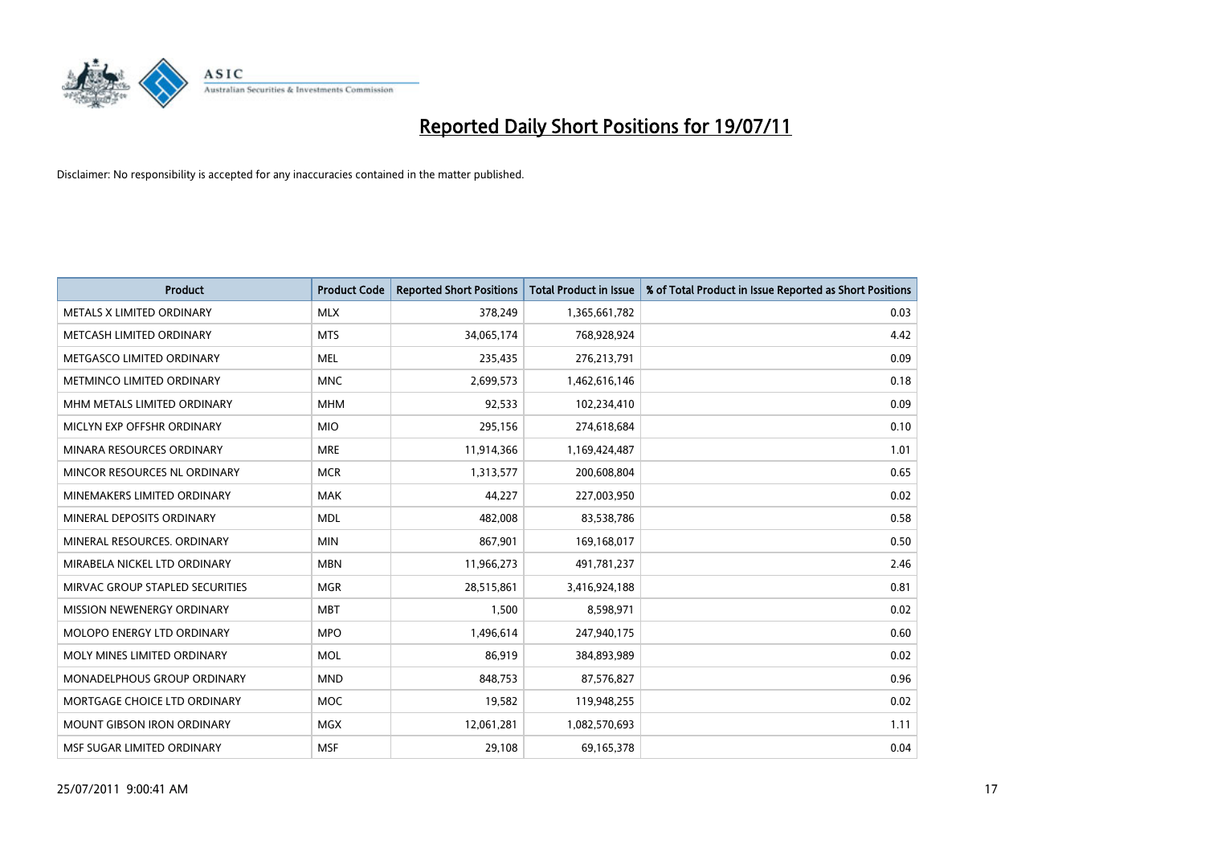

| <b>Product</b>                    | <b>Product Code</b> | <b>Reported Short Positions</b> | <b>Total Product in Issue</b> | % of Total Product in Issue Reported as Short Positions |
|-----------------------------------|---------------------|---------------------------------|-------------------------------|---------------------------------------------------------|
| METALS X LIMITED ORDINARY         | <b>MLX</b>          | 378,249                         | 1,365,661,782                 | 0.03                                                    |
| METCASH LIMITED ORDINARY          | <b>MTS</b>          | 34,065,174                      | 768,928,924                   | 4.42                                                    |
| METGASCO LIMITED ORDINARY         | <b>MEL</b>          | 235,435                         | 276,213,791                   | 0.09                                                    |
| METMINCO LIMITED ORDINARY         | <b>MNC</b>          | 2,699,573                       | 1,462,616,146                 | 0.18                                                    |
| MHM METALS LIMITED ORDINARY       | <b>MHM</b>          | 92,533                          | 102,234,410                   | 0.09                                                    |
| MICLYN EXP OFFSHR ORDINARY        | <b>MIO</b>          | 295,156                         | 274,618,684                   | 0.10                                                    |
| MINARA RESOURCES ORDINARY         | <b>MRE</b>          | 11,914,366                      | 1,169,424,487                 | 1.01                                                    |
| MINCOR RESOURCES NL ORDINARY      | <b>MCR</b>          | 1,313,577                       | 200,608,804                   | 0.65                                                    |
| MINEMAKERS LIMITED ORDINARY       | <b>MAK</b>          | 44,227                          | 227,003,950                   | 0.02                                                    |
| MINERAL DEPOSITS ORDINARY         | <b>MDL</b>          | 482,008                         | 83,538,786                    | 0.58                                                    |
| MINERAL RESOURCES. ORDINARY       | <b>MIN</b>          | 867,901                         | 169,168,017                   | 0.50                                                    |
| MIRABELA NICKEL LTD ORDINARY      | <b>MBN</b>          | 11,966,273                      | 491,781,237                   | 2.46                                                    |
| MIRVAC GROUP STAPLED SECURITIES   | <b>MGR</b>          | 28,515,861                      | 3,416,924,188                 | 0.81                                                    |
| MISSION NEWENERGY ORDINARY        | <b>MBT</b>          | 1,500                           | 8,598,971                     | 0.02                                                    |
| MOLOPO ENERGY LTD ORDINARY        | <b>MPO</b>          | 1,496,614                       | 247,940,175                   | 0.60                                                    |
| MOLY MINES LIMITED ORDINARY       | <b>MOL</b>          | 86,919                          | 384,893,989                   | 0.02                                                    |
| MONADELPHOUS GROUP ORDINARY       | <b>MND</b>          | 848,753                         | 87,576,827                    | 0.96                                                    |
| MORTGAGE CHOICE LTD ORDINARY      | <b>MOC</b>          | 19,582                          | 119,948,255                   | 0.02                                                    |
| <b>MOUNT GIBSON IRON ORDINARY</b> | <b>MGX</b>          | 12,061,281                      | 1,082,570,693                 | 1.11                                                    |
| MSF SUGAR LIMITED ORDINARY        | <b>MSF</b>          | 29,108                          | 69,165,378                    | 0.04                                                    |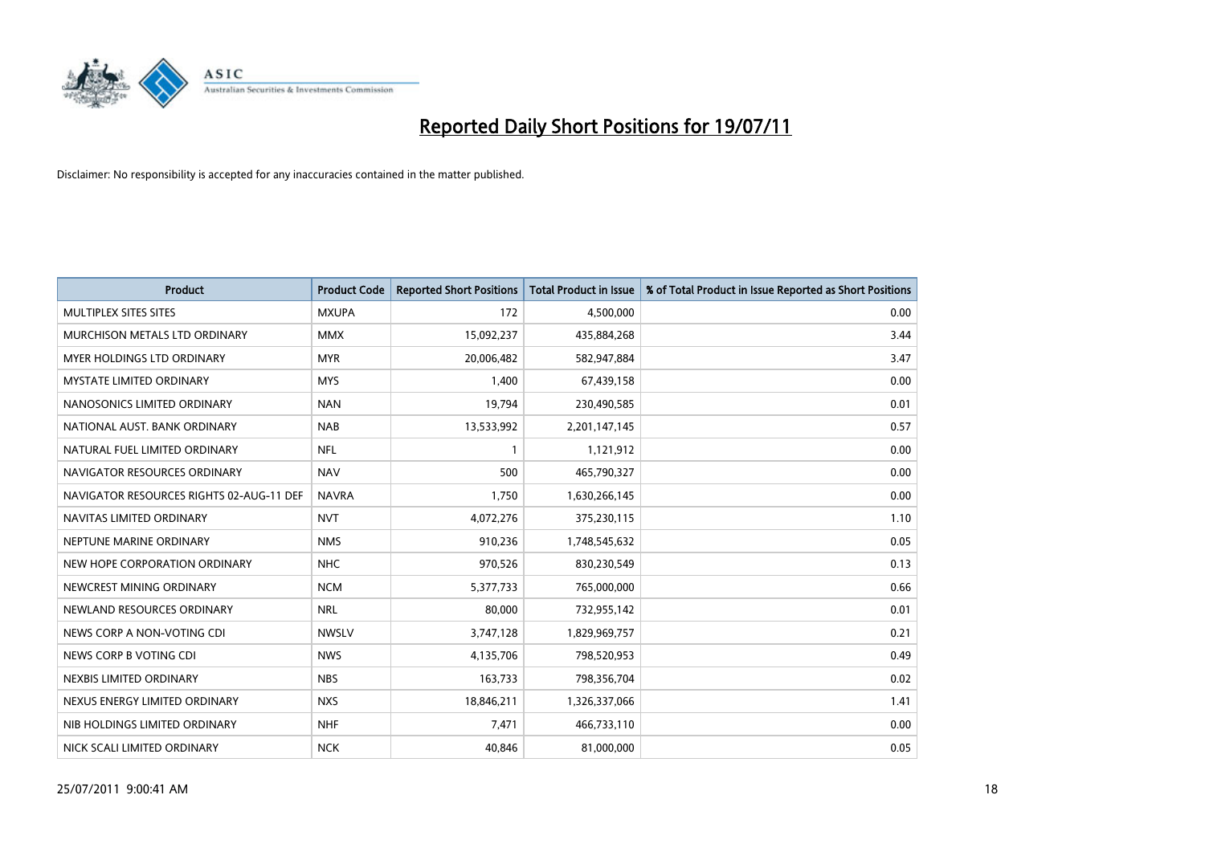

| <b>Product</b>                           | <b>Product Code</b> | <b>Reported Short Positions</b> | Total Product in Issue | % of Total Product in Issue Reported as Short Positions |
|------------------------------------------|---------------------|---------------------------------|------------------------|---------------------------------------------------------|
| MULTIPLEX SITES SITES                    | <b>MXUPA</b>        | 172                             | 4,500,000              | 0.00                                                    |
| MURCHISON METALS LTD ORDINARY            | <b>MMX</b>          | 15,092,237                      | 435,884,268            | 3.44                                                    |
| <b>MYER HOLDINGS LTD ORDINARY</b>        | <b>MYR</b>          | 20,006,482                      | 582,947,884            | 3.47                                                    |
| MYSTATE LIMITED ORDINARY                 | <b>MYS</b>          | 1,400                           | 67,439,158             | 0.00                                                    |
| NANOSONICS LIMITED ORDINARY              | <b>NAN</b>          | 19,794                          | 230,490,585            | 0.01                                                    |
| NATIONAL AUST. BANK ORDINARY             | <b>NAB</b>          | 13,533,992                      | 2,201,147,145          | 0.57                                                    |
| NATURAL FUEL LIMITED ORDINARY            | <b>NFL</b>          |                                 | 1,121,912              | 0.00                                                    |
| NAVIGATOR RESOURCES ORDINARY             | <b>NAV</b>          | 500                             | 465,790,327            | 0.00                                                    |
| NAVIGATOR RESOURCES RIGHTS 02-AUG-11 DEF | <b>NAVRA</b>        | 1,750                           | 1,630,266,145          | 0.00                                                    |
| NAVITAS LIMITED ORDINARY                 | <b>NVT</b>          | 4,072,276                       | 375,230,115            | 1.10                                                    |
| NEPTUNE MARINE ORDINARY                  | <b>NMS</b>          | 910,236                         | 1,748,545,632          | 0.05                                                    |
| NEW HOPE CORPORATION ORDINARY            | <b>NHC</b>          | 970,526                         | 830,230,549            | 0.13                                                    |
| NEWCREST MINING ORDINARY                 | <b>NCM</b>          | 5,377,733                       | 765,000,000            | 0.66                                                    |
| NEWLAND RESOURCES ORDINARY               | <b>NRL</b>          | 80,000                          | 732,955,142            | 0.01                                                    |
| NEWS CORP A NON-VOTING CDI               | <b>NWSLV</b>        | 3,747,128                       | 1,829,969,757          | 0.21                                                    |
| NEWS CORP B VOTING CDI                   | <b>NWS</b>          | 4,135,706                       | 798,520,953            | 0.49                                                    |
| NEXBIS LIMITED ORDINARY                  | <b>NBS</b>          | 163,733                         | 798,356,704            | 0.02                                                    |
| NEXUS ENERGY LIMITED ORDINARY            | <b>NXS</b>          | 18,846,211                      | 1,326,337,066          | 1.41                                                    |
| NIB HOLDINGS LIMITED ORDINARY            | <b>NHF</b>          | 7,471                           | 466,733,110            | 0.00                                                    |
| NICK SCALI LIMITED ORDINARY              | <b>NCK</b>          | 40,846                          | 81,000,000             | 0.05                                                    |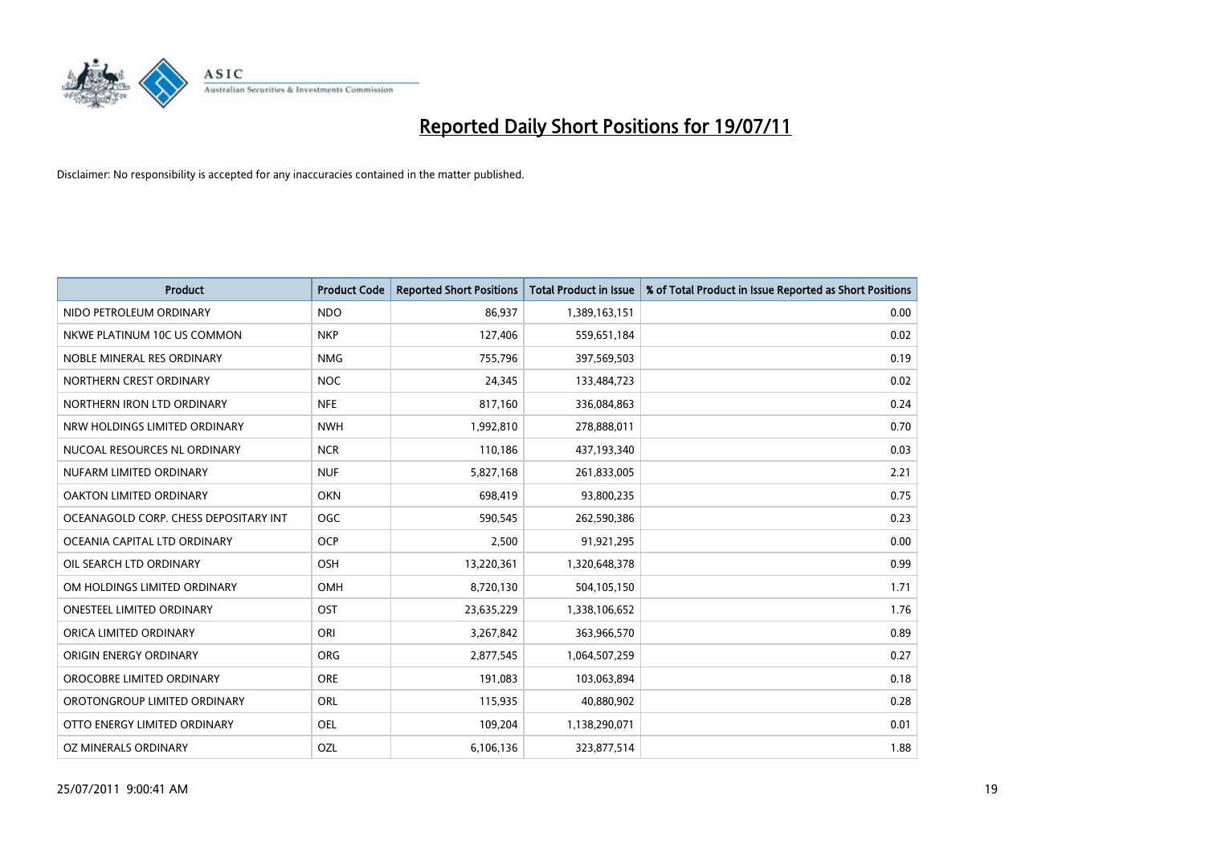

| <b>Product</b>                        | <b>Product Code</b> | <b>Reported Short Positions</b> | <b>Total Product in Issue</b> | % of Total Product in Issue Reported as Short Positions |
|---------------------------------------|---------------------|---------------------------------|-------------------------------|---------------------------------------------------------|
| NIDO PETROLEUM ORDINARY               | <b>NDO</b>          | 86,937                          | 1,389,163,151                 | 0.00                                                    |
| NKWE PLATINUM 10C US COMMON           | <b>NKP</b>          | 127,406                         | 559,651,184                   | 0.02                                                    |
| NOBLE MINERAL RES ORDINARY            | <b>NMG</b>          | 755,796                         | 397,569,503                   | 0.19                                                    |
| NORTHERN CREST ORDINARY               | <b>NOC</b>          | 24,345                          | 133,484,723                   | 0.02                                                    |
| NORTHERN IRON LTD ORDINARY            | <b>NFE</b>          | 817,160                         | 336,084,863                   | 0.24                                                    |
| NRW HOLDINGS LIMITED ORDINARY         | <b>NWH</b>          | 1,992,810                       | 278,888,011                   | 0.70                                                    |
| NUCOAL RESOURCES NL ORDINARY          | <b>NCR</b>          | 110,186                         | 437,193,340                   | 0.03                                                    |
| NUFARM LIMITED ORDINARY               | <b>NUF</b>          | 5,827,168                       | 261,833,005                   | 2.21                                                    |
| OAKTON LIMITED ORDINARY               | <b>OKN</b>          | 698,419                         | 93,800,235                    | 0.75                                                    |
| OCEANAGOLD CORP. CHESS DEPOSITARY INT | <b>OGC</b>          | 590,545                         | 262,590,386                   | 0.23                                                    |
| OCEANIA CAPITAL LTD ORDINARY          | <b>OCP</b>          | 2,500                           | 91,921,295                    | 0.00                                                    |
| OIL SEARCH LTD ORDINARY               | OSH                 | 13,220,361                      | 1,320,648,378                 | 0.99                                                    |
| OM HOLDINGS LIMITED ORDINARY          | OMH                 | 8,720,130                       | 504,105,150                   | 1.71                                                    |
| <b>ONESTEEL LIMITED ORDINARY</b>      | OST                 | 23,635,229                      | 1,338,106,652                 | 1.76                                                    |
| ORICA LIMITED ORDINARY                | ORI                 | 3,267,842                       | 363,966,570                   | 0.89                                                    |
| ORIGIN ENERGY ORDINARY                | <b>ORG</b>          | 2,877,545                       | 1,064,507,259                 | 0.27                                                    |
| OROCOBRE LIMITED ORDINARY             | <b>ORE</b>          | 191,083                         | 103,063,894                   | 0.18                                                    |
| OROTONGROUP LIMITED ORDINARY          | ORL                 | 115,935                         | 40,880,902                    | 0.28                                                    |
| OTTO ENERGY LIMITED ORDINARY          | <b>OEL</b>          | 109,204                         | 1,138,290,071                 | 0.01                                                    |
| OZ MINERALS ORDINARY                  | OZL                 | 6,106,136                       | 323,877,514                   | 1.88                                                    |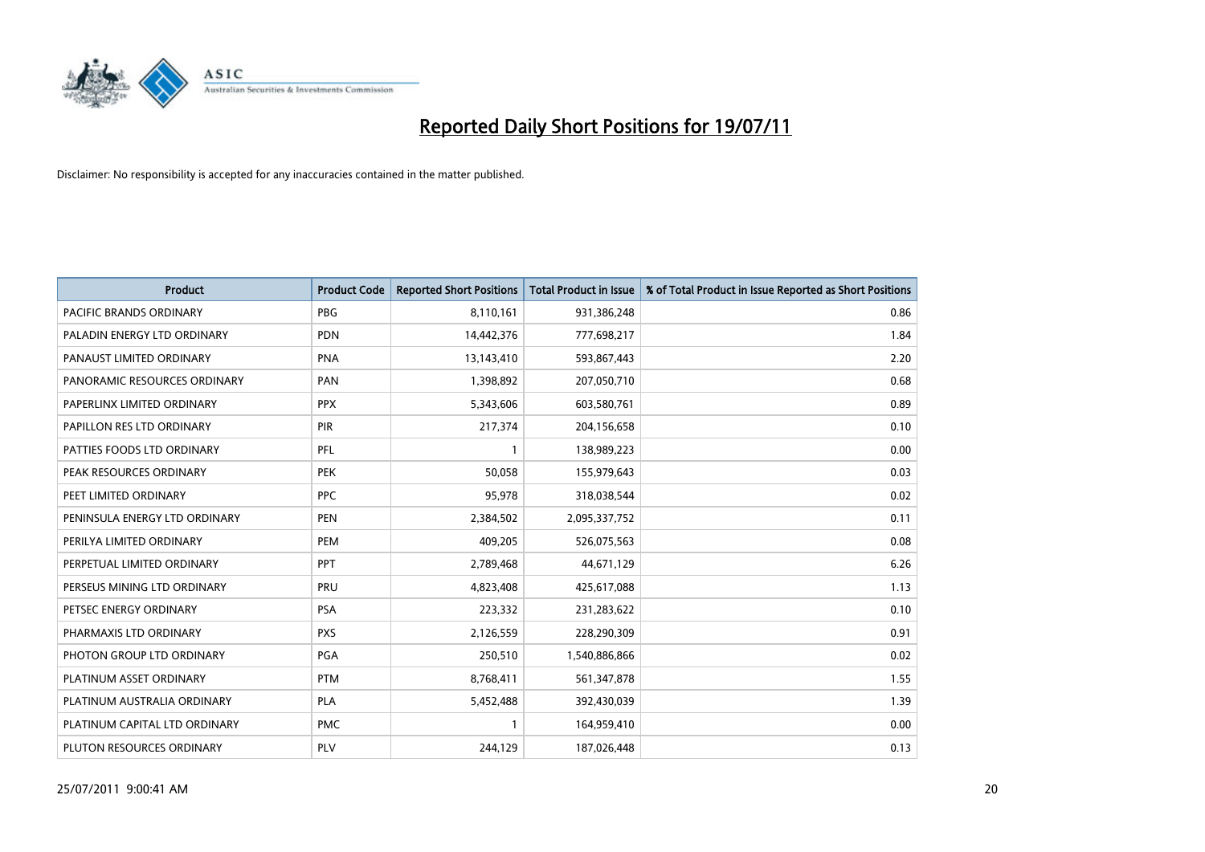

| <b>Product</b>                 | <b>Product Code</b> | <b>Reported Short Positions</b> | <b>Total Product in Issue</b> | % of Total Product in Issue Reported as Short Positions |
|--------------------------------|---------------------|---------------------------------|-------------------------------|---------------------------------------------------------|
| <b>PACIFIC BRANDS ORDINARY</b> | <b>PBG</b>          | 8,110,161                       | 931,386,248                   | 0.86                                                    |
| PALADIN ENERGY LTD ORDINARY    | <b>PDN</b>          | 14,442,376                      | 777,698,217                   | 1.84                                                    |
| PANAUST LIMITED ORDINARY       | <b>PNA</b>          | 13,143,410                      | 593,867,443                   | 2.20                                                    |
| PANORAMIC RESOURCES ORDINARY   | PAN                 | 1,398,892                       | 207,050,710                   | 0.68                                                    |
| PAPERLINX LIMITED ORDINARY     | <b>PPX</b>          | 5,343,606                       | 603,580,761                   | 0.89                                                    |
| PAPILLON RES LTD ORDINARY      | PIR                 | 217,374                         | 204,156,658                   | 0.10                                                    |
| PATTIES FOODS LTD ORDINARY     | PFL                 |                                 | 138,989,223                   | 0.00                                                    |
| PEAK RESOURCES ORDINARY        | <b>PEK</b>          | 50,058                          | 155,979,643                   | 0.03                                                    |
| PEET LIMITED ORDINARY          | <b>PPC</b>          | 95,978                          | 318,038,544                   | 0.02                                                    |
| PENINSULA ENERGY LTD ORDINARY  | <b>PEN</b>          | 2,384,502                       | 2,095,337,752                 | 0.11                                                    |
| PERILYA LIMITED ORDINARY       | PEM                 | 409,205                         | 526,075,563                   | 0.08                                                    |
| PERPETUAL LIMITED ORDINARY     | PPT                 | 2,789,468                       | 44,671,129                    | 6.26                                                    |
| PERSEUS MINING LTD ORDINARY    | PRU                 | 4,823,408                       | 425,617,088                   | 1.13                                                    |
| PETSEC ENERGY ORDINARY         | <b>PSA</b>          | 223,332                         | 231,283,622                   | 0.10                                                    |
| PHARMAXIS LTD ORDINARY         | <b>PXS</b>          | 2,126,559                       | 228,290,309                   | 0.91                                                    |
| PHOTON GROUP LTD ORDINARY      | PGA                 | 250,510                         | 1,540,886,866                 | 0.02                                                    |
| PLATINUM ASSET ORDINARY        | <b>PTM</b>          | 8,768,411                       | 561,347,878                   | 1.55                                                    |
| PLATINUM AUSTRALIA ORDINARY    | <b>PLA</b>          | 5,452,488                       | 392,430,039                   | 1.39                                                    |
| PLATINUM CAPITAL LTD ORDINARY  | <b>PMC</b>          |                                 | 164,959,410                   | 0.00                                                    |
| PLUTON RESOURCES ORDINARY      | PLV                 | 244,129                         | 187,026,448                   | 0.13                                                    |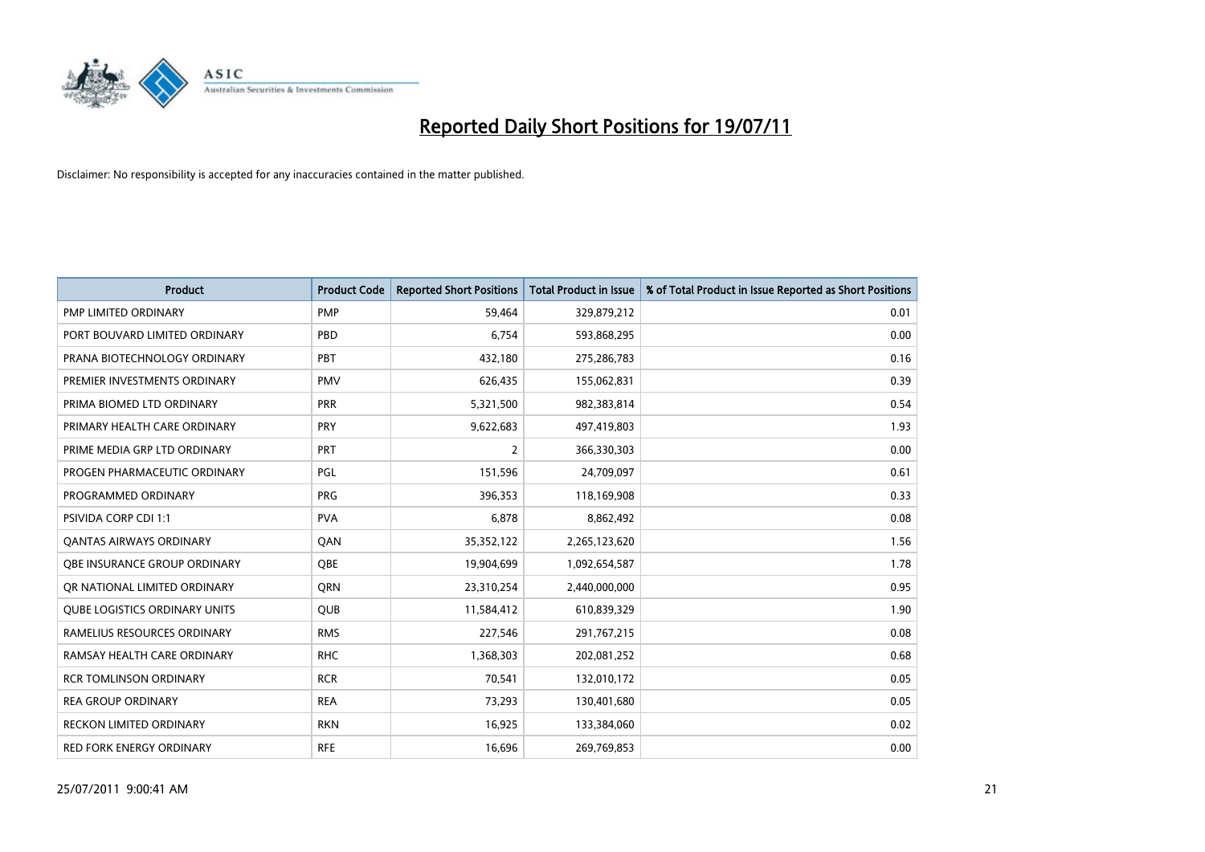

| <b>Product</b>                       | <b>Product Code</b> | <b>Reported Short Positions</b> | Total Product in Issue | % of Total Product in Issue Reported as Short Positions |
|--------------------------------------|---------------------|---------------------------------|------------------------|---------------------------------------------------------|
| <b>PMP LIMITED ORDINARY</b>          | <b>PMP</b>          | 59,464                          | 329,879,212            | 0.01                                                    |
| PORT BOUVARD LIMITED ORDINARY        | PBD                 | 6.754                           | 593,868,295            | 0.00                                                    |
| PRANA BIOTECHNOLOGY ORDINARY         | PBT                 | 432,180                         | 275,286,783            | 0.16                                                    |
| PREMIER INVESTMENTS ORDINARY         | <b>PMV</b>          | 626,435                         | 155,062,831            | 0.39                                                    |
| PRIMA BIOMED LTD ORDINARY            | PRR                 | 5,321,500                       | 982,383,814            | 0.54                                                    |
| PRIMARY HEALTH CARE ORDINARY         | PRY                 | 9,622,683                       | 497,419,803            | 1.93                                                    |
| PRIME MEDIA GRP LTD ORDINARY         | PRT                 | 2                               | 366,330,303            | 0.00                                                    |
| PROGEN PHARMACEUTIC ORDINARY         | <b>PGL</b>          | 151,596                         | 24,709,097             | 0.61                                                    |
| PROGRAMMED ORDINARY                  | <b>PRG</b>          | 396,353                         | 118,169,908            | 0.33                                                    |
| <b>PSIVIDA CORP CDI 1:1</b>          | <b>PVA</b>          | 6.878                           | 8,862,492              | 0.08                                                    |
| <b>QANTAS AIRWAYS ORDINARY</b>       | QAN                 | 35,352,122                      | 2,265,123,620          | 1.56                                                    |
| <b>OBE INSURANCE GROUP ORDINARY</b>  | <b>OBE</b>          | 19,904,699                      | 1,092,654,587          | 1.78                                                    |
| OR NATIONAL LIMITED ORDINARY         | <b>ORN</b>          | 23,310,254                      | 2,440,000,000          | 0.95                                                    |
| <b>QUBE LOGISTICS ORDINARY UNITS</b> | <b>OUB</b>          | 11,584,412                      | 610,839,329            | 1.90                                                    |
| RAMELIUS RESOURCES ORDINARY          | <b>RMS</b>          | 227,546                         | 291,767,215            | 0.08                                                    |
| RAMSAY HEALTH CARE ORDINARY          | <b>RHC</b>          | 1,368,303                       | 202,081,252            | 0.68                                                    |
| <b>RCR TOMLINSON ORDINARY</b>        | <b>RCR</b>          | 70,541                          | 132,010,172            | 0.05                                                    |
| <b>REA GROUP ORDINARY</b>            | <b>REA</b>          | 73,293                          | 130,401,680            | 0.05                                                    |
| <b>RECKON LIMITED ORDINARY</b>       | <b>RKN</b>          | 16,925                          | 133,384,060            | 0.02                                                    |
| <b>RED FORK ENERGY ORDINARY</b>      | <b>RFE</b>          | 16.696                          | 269,769,853            | 0.00                                                    |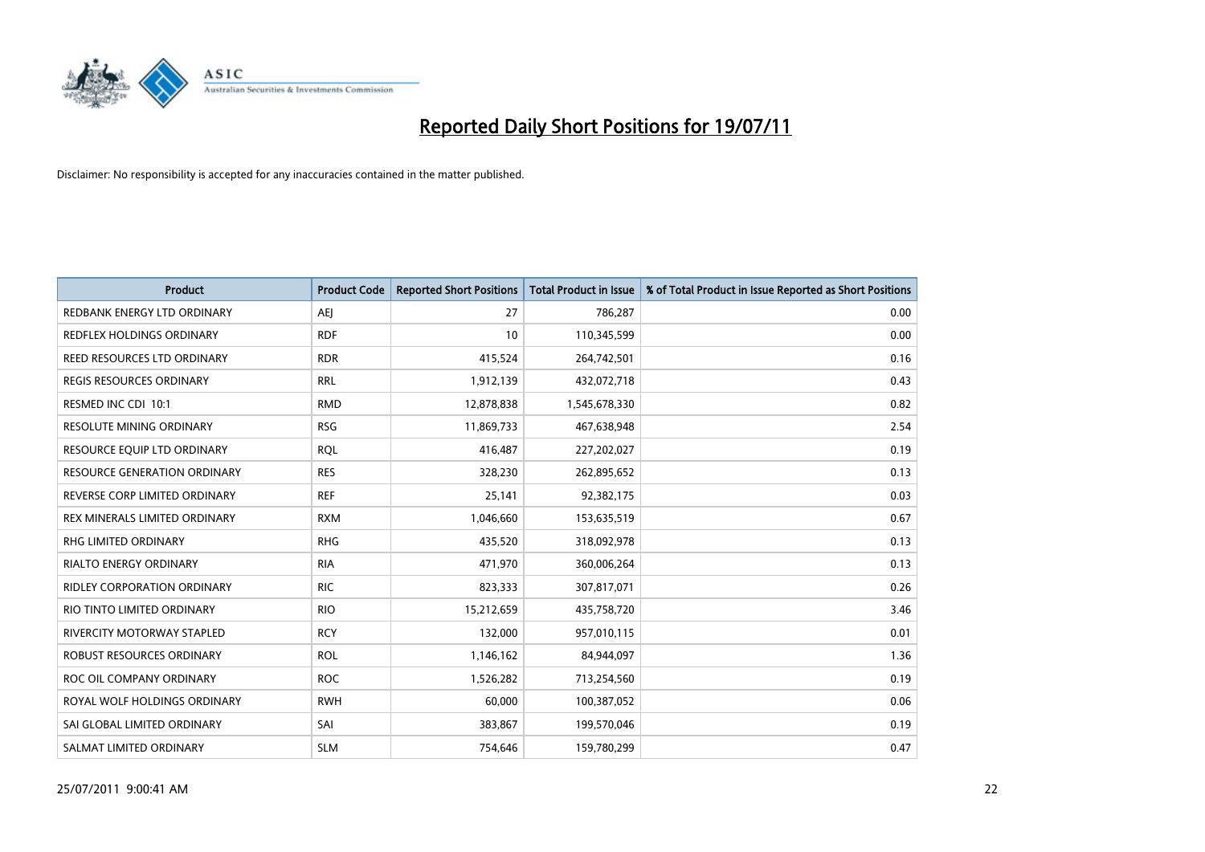

| <b>Product</b>                      | <b>Product Code</b> | <b>Reported Short Positions</b> | <b>Total Product in Issue</b> | % of Total Product in Issue Reported as Short Positions |
|-------------------------------------|---------------------|---------------------------------|-------------------------------|---------------------------------------------------------|
| REDBANK ENERGY LTD ORDINARY         | <b>AEI</b>          | 27                              | 786,287                       | 0.00                                                    |
| <b>REDFLEX HOLDINGS ORDINARY</b>    | <b>RDF</b>          | 10                              | 110,345,599                   | 0.00                                                    |
| <b>REED RESOURCES LTD ORDINARY</b>  | <b>RDR</b>          | 415,524                         | 264,742,501                   | 0.16                                                    |
| <b>REGIS RESOURCES ORDINARY</b>     | <b>RRL</b>          | 1,912,139                       | 432,072,718                   | 0.43                                                    |
| RESMED INC CDI 10:1                 | <b>RMD</b>          | 12,878,838                      | 1,545,678,330                 | 0.82                                                    |
| RESOLUTE MINING ORDINARY            | <b>RSG</b>          | 11,869,733                      | 467,638,948                   | 2.54                                                    |
| RESOURCE EQUIP LTD ORDINARY         | <b>ROL</b>          | 416,487                         | 227,202,027                   | 0.19                                                    |
| <b>RESOURCE GENERATION ORDINARY</b> | <b>RES</b>          | 328,230                         | 262,895,652                   | 0.13                                                    |
| REVERSE CORP LIMITED ORDINARY       | <b>REF</b>          | 25,141                          | 92,382,175                    | 0.03                                                    |
| REX MINERALS LIMITED ORDINARY       | <b>RXM</b>          | 1,046,660                       | 153,635,519                   | 0.67                                                    |
| <b>RHG LIMITED ORDINARY</b>         | <b>RHG</b>          | 435,520                         | 318,092,978                   | 0.13                                                    |
| RIALTO ENERGY ORDINARY              | <b>RIA</b>          | 471,970                         | 360,006,264                   | 0.13                                                    |
| <b>RIDLEY CORPORATION ORDINARY</b>  | <b>RIC</b>          | 823,333                         | 307,817,071                   | 0.26                                                    |
| RIO TINTO LIMITED ORDINARY          | <b>RIO</b>          | 15,212,659                      | 435,758,720                   | 3.46                                                    |
| <b>RIVERCITY MOTORWAY STAPLED</b>   | <b>RCY</b>          | 132,000                         | 957,010,115                   | 0.01                                                    |
| <b>ROBUST RESOURCES ORDINARY</b>    | <b>ROL</b>          | 1,146,162                       | 84,944,097                    | 1.36                                                    |
| ROC OIL COMPANY ORDINARY            | <b>ROC</b>          | 1,526,282                       | 713,254,560                   | 0.19                                                    |
| ROYAL WOLF HOLDINGS ORDINARY        | <b>RWH</b>          | 60,000                          | 100,387,052                   | 0.06                                                    |
| SAI GLOBAL LIMITED ORDINARY         | SAI                 | 383,867                         | 199,570,046                   | 0.19                                                    |
| SALMAT LIMITED ORDINARY             | <b>SLM</b>          | 754,646                         | 159,780,299                   | 0.47                                                    |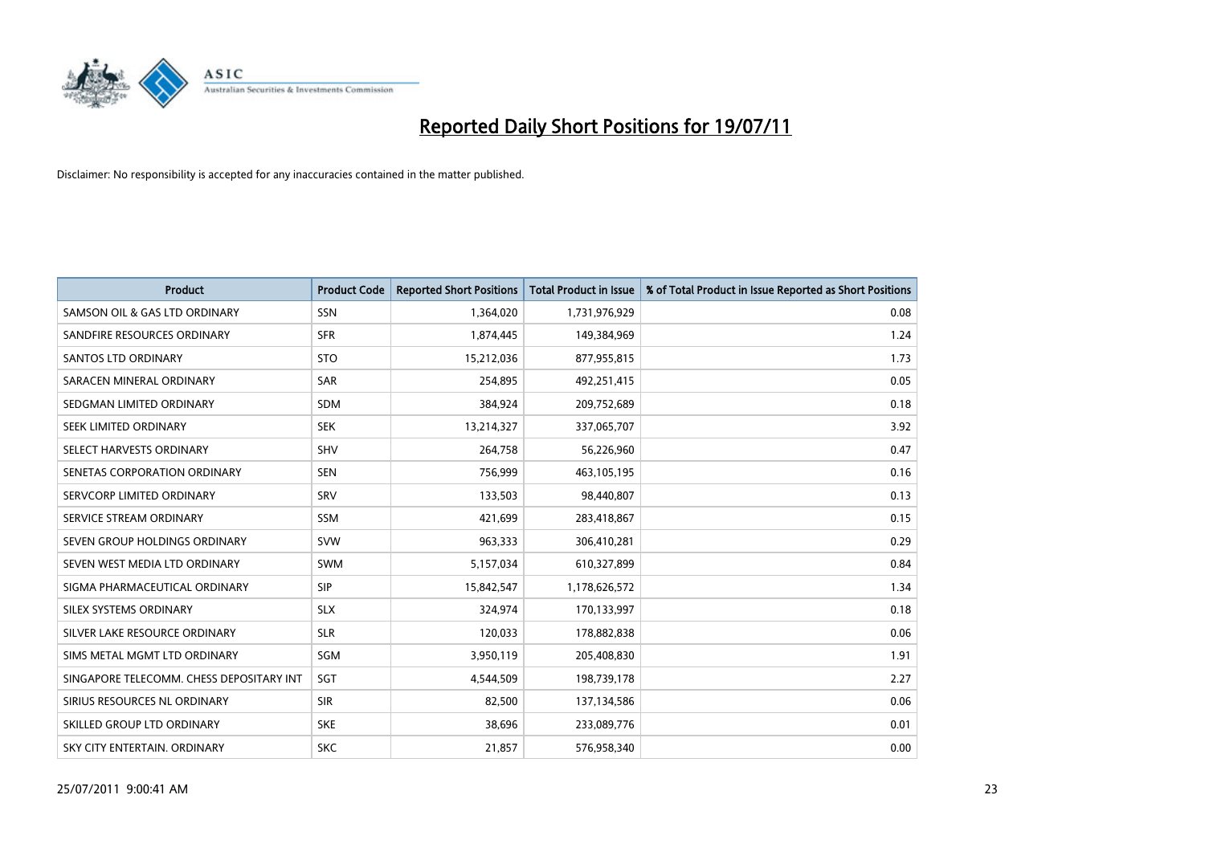

| <b>Product</b>                           | <b>Product Code</b> | <b>Reported Short Positions</b> | <b>Total Product in Issue</b> | % of Total Product in Issue Reported as Short Positions |
|------------------------------------------|---------------------|---------------------------------|-------------------------------|---------------------------------------------------------|
| SAMSON OIL & GAS LTD ORDINARY            | SSN                 | 1,364,020                       | 1,731,976,929                 | 0.08                                                    |
| SANDFIRE RESOURCES ORDINARY              | <b>SFR</b>          | 1,874,445                       | 149,384,969                   | 1.24                                                    |
| <b>SANTOS LTD ORDINARY</b>               | <b>STO</b>          | 15,212,036                      | 877,955,815                   | 1.73                                                    |
| SARACEN MINERAL ORDINARY                 | SAR                 | 254,895                         | 492,251,415                   | 0.05                                                    |
| SEDGMAN LIMITED ORDINARY                 | <b>SDM</b>          | 384,924                         | 209,752,689                   | 0.18                                                    |
| SEEK LIMITED ORDINARY                    | <b>SEK</b>          | 13,214,327                      | 337,065,707                   | 3.92                                                    |
| SELECT HARVESTS ORDINARY                 | SHV                 | 264,758                         | 56,226,960                    | 0.47                                                    |
| SENETAS CORPORATION ORDINARY             | <b>SEN</b>          | 756,999                         | 463,105,195                   | 0.16                                                    |
| SERVCORP LIMITED ORDINARY                | SRV                 | 133,503                         | 98,440,807                    | 0.13                                                    |
| SERVICE STREAM ORDINARY                  | <b>SSM</b>          | 421,699                         | 283,418,867                   | 0.15                                                    |
| SEVEN GROUP HOLDINGS ORDINARY            | <b>SVW</b>          | 963,333                         | 306,410,281                   | 0.29                                                    |
| SEVEN WEST MEDIA LTD ORDINARY            | <b>SWM</b>          | 5,157,034                       | 610,327,899                   | 0.84                                                    |
| SIGMA PHARMACEUTICAL ORDINARY            | SIP                 | 15,842,547                      | 1,178,626,572                 | 1.34                                                    |
| SILEX SYSTEMS ORDINARY                   | <b>SLX</b>          | 324,974                         | 170,133,997                   | 0.18                                                    |
| SILVER LAKE RESOURCE ORDINARY            | <b>SLR</b>          | 120,033                         | 178,882,838                   | 0.06                                                    |
| SIMS METAL MGMT LTD ORDINARY             | SGM                 | 3,950,119                       | 205,408,830                   | 1.91                                                    |
| SINGAPORE TELECOMM. CHESS DEPOSITARY INT | SGT                 | 4,544,509                       | 198,739,178                   | 2.27                                                    |
| SIRIUS RESOURCES NL ORDINARY             | <b>SIR</b>          | 82,500                          | 137,134,586                   | 0.06                                                    |
| SKILLED GROUP LTD ORDINARY               | <b>SKE</b>          | 38,696                          | 233,089,776                   | 0.01                                                    |
| SKY CITY ENTERTAIN, ORDINARY             | <b>SKC</b>          | 21,857                          | 576,958,340                   | 0.00                                                    |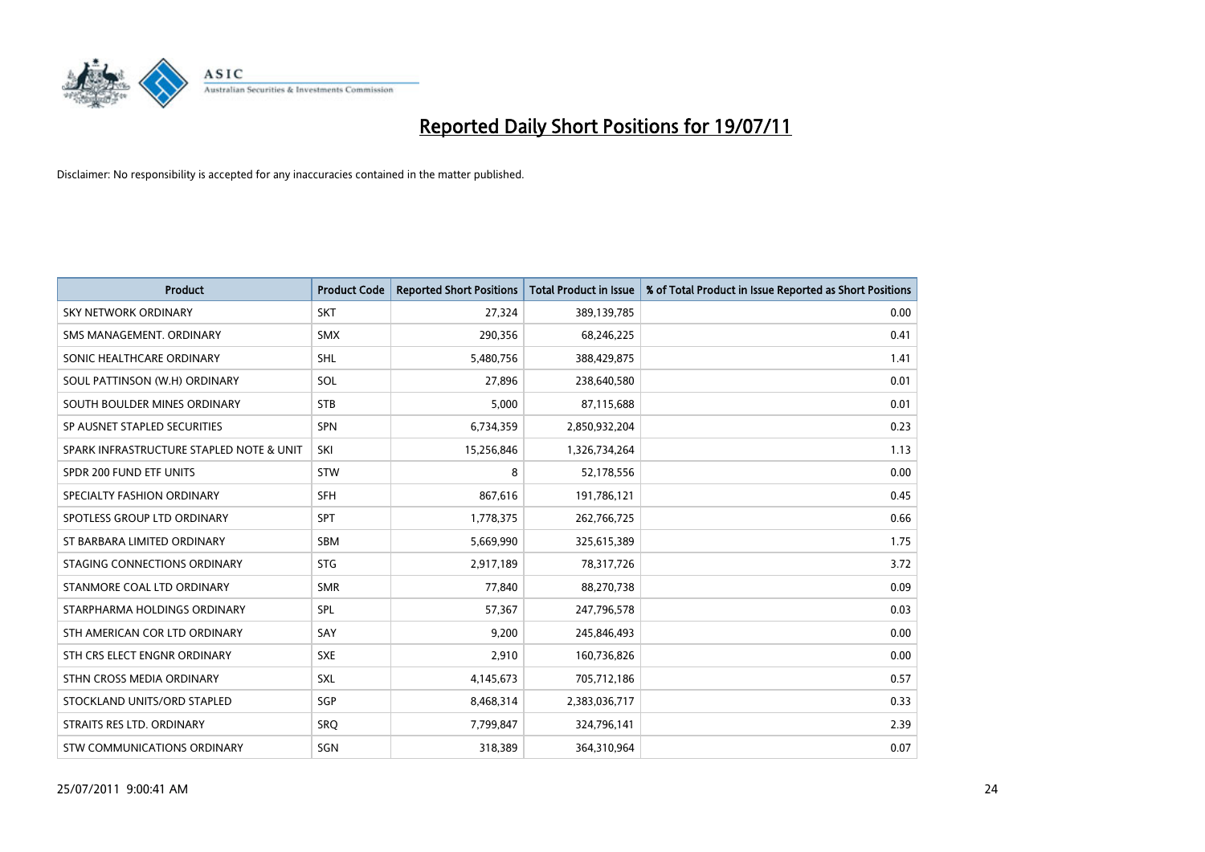

| <b>Product</b>                           | <b>Product Code</b> | <b>Reported Short Positions</b> | <b>Total Product in Issue</b> | % of Total Product in Issue Reported as Short Positions |
|------------------------------------------|---------------------|---------------------------------|-------------------------------|---------------------------------------------------------|
| <b>SKY NETWORK ORDINARY</b>              | <b>SKT</b>          | 27,324                          | 389,139,785                   | 0.00                                                    |
| SMS MANAGEMENT. ORDINARY                 | <b>SMX</b>          | 290,356                         | 68,246,225                    | 0.41                                                    |
| SONIC HEALTHCARE ORDINARY                | <b>SHL</b>          | 5,480,756                       | 388,429,875                   | 1.41                                                    |
| SOUL PATTINSON (W.H) ORDINARY            | SOL                 | 27,896                          | 238,640,580                   | 0.01                                                    |
| SOUTH BOULDER MINES ORDINARY             | <b>STB</b>          | 5,000                           | 87,115,688                    | 0.01                                                    |
| SP AUSNET STAPLED SECURITIES             | <b>SPN</b>          | 6,734,359                       | 2,850,932,204                 | 0.23                                                    |
| SPARK INFRASTRUCTURE STAPLED NOTE & UNIT | SKI                 | 15,256,846                      | 1,326,734,264                 | 1.13                                                    |
| SPDR 200 FUND ETF UNITS                  | <b>STW</b>          | 8                               | 52,178,556                    | 0.00                                                    |
| SPECIALTY FASHION ORDINARY               | <b>SFH</b>          | 867,616                         | 191,786,121                   | 0.45                                                    |
| SPOTLESS GROUP LTD ORDINARY              | <b>SPT</b>          | 1,778,375                       | 262,766,725                   | 0.66                                                    |
| ST BARBARA LIMITED ORDINARY              | SBM                 | 5,669,990                       | 325,615,389                   | 1.75                                                    |
| STAGING CONNECTIONS ORDINARY             | <b>STG</b>          | 2,917,189                       | 78,317,726                    | 3.72                                                    |
| STANMORE COAL LTD ORDINARY               | <b>SMR</b>          | 77,840                          | 88,270,738                    | 0.09                                                    |
| STARPHARMA HOLDINGS ORDINARY             | SPL                 | 57,367                          | 247,796,578                   | 0.03                                                    |
| STH AMERICAN COR LTD ORDINARY            | SAY                 | 9,200                           | 245,846,493                   | 0.00                                                    |
| STH CRS ELECT ENGNR ORDINARY             | <b>SXE</b>          | 2,910                           | 160,736,826                   | 0.00                                                    |
| STHN CROSS MEDIA ORDINARY                | <b>SXL</b>          | 4,145,673                       | 705,712,186                   | 0.57                                                    |
| STOCKLAND UNITS/ORD STAPLED              | SGP                 | 8,468,314                       | 2,383,036,717                 | 0.33                                                    |
| STRAITS RES LTD. ORDINARY                | <b>SRO</b>          | 7,799,847                       | 324,796,141                   | 2.39                                                    |
| <b>STW COMMUNICATIONS ORDINARY</b>       | SGN                 | 318,389                         | 364,310,964                   | 0.07                                                    |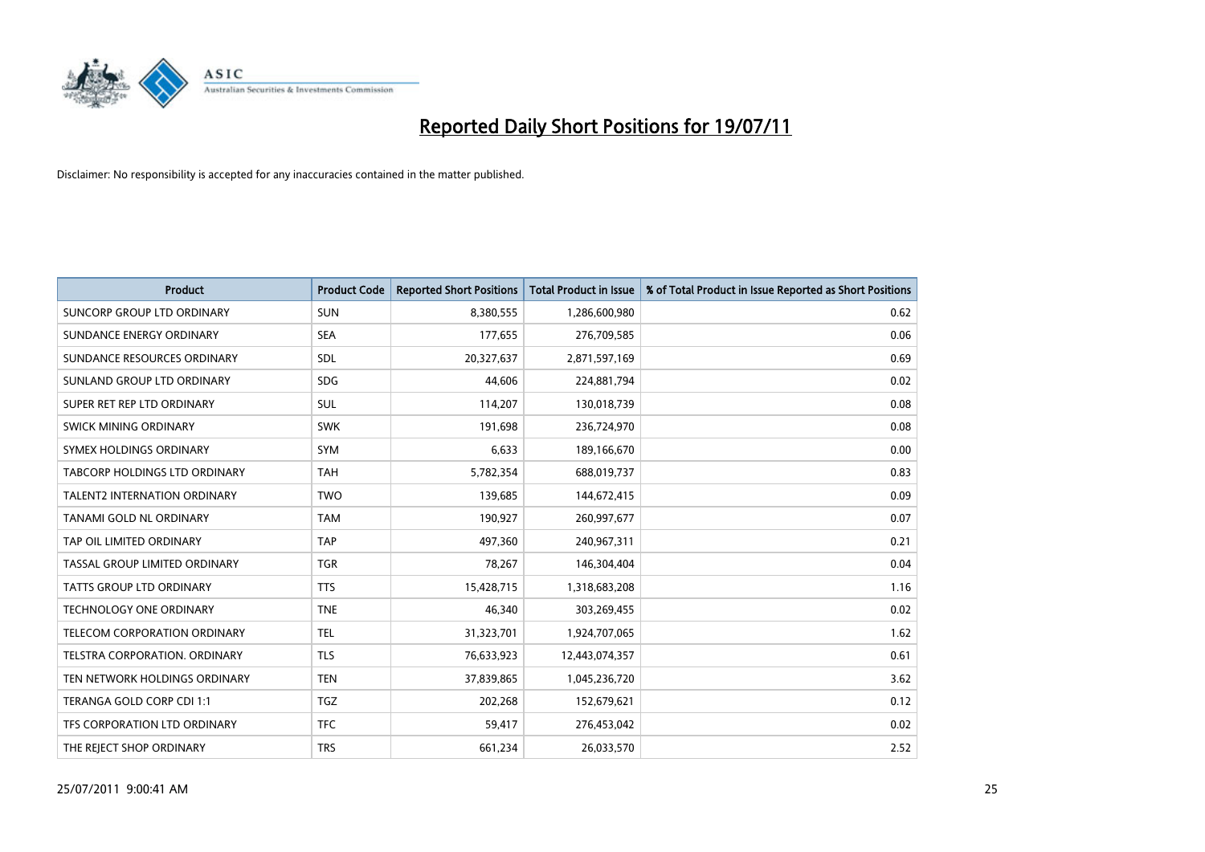

| <b>Product</b>                      | <b>Product Code</b> | <b>Reported Short Positions</b> | <b>Total Product in Issue</b> | % of Total Product in Issue Reported as Short Positions |
|-------------------------------------|---------------------|---------------------------------|-------------------------------|---------------------------------------------------------|
| <b>SUNCORP GROUP LTD ORDINARY</b>   | <b>SUN</b>          | 8,380,555                       | 1,286,600,980                 | 0.62                                                    |
| SUNDANCE ENERGY ORDINARY            | <b>SEA</b>          | 177,655                         | 276,709,585                   | 0.06                                                    |
| SUNDANCE RESOURCES ORDINARY         | <b>SDL</b>          | 20,327,637                      | 2,871,597,169                 | 0.69                                                    |
| SUNLAND GROUP LTD ORDINARY          | <b>SDG</b>          | 44,606                          | 224,881,794                   | 0.02                                                    |
| SUPER RET REP LTD ORDINARY          | <b>SUL</b>          | 114,207                         | 130,018,739                   | 0.08                                                    |
| SWICK MINING ORDINARY               | <b>SWK</b>          | 191,698                         | 236,724,970                   | 0.08                                                    |
| SYMEX HOLDINGS ORDINARY             | <b>SYM</b>          | 6,633                           | 189,166,670                   | 0.00                                                    |
| TABCORP HOLDINGS LTD ORDINARY       | <b>TAH</b>          | 5,782,354                       | 688,019,737                   | 0.83                                                    |
| <b>TALENT2 INTERNATION ORDINARY</b> | <b>TWO</b>          | 139,685                         | 144,672,415                   | 0.09                                                    |
| TANAMI GOLD NL ORDINARY             | <b>TAM</b>          | 190,927                         | 260,997,677                   | 0.07                                                    |
| TAP OIL LIMITED ORDINARY            | <b>TAP</b>          | 497,360                         | 240,967,311                   | 0.21                                                    |
| TASSAL GROUP LIMITED ORDINARY       | <b>TGR</b>          | 78,267                          | 146,304,404                   | 0.04                                                    |
| TATTS GROUP LTD ORDINARY            | <b>TTS</b>          | 15,428,715                      | 1,318,683,208                 | 1.16                                                    |
| TECHNOLOGY ONE ORDINARY             | <b>TNE</b>          | 46,340                          | 303,269,455                   | 0.02                                                    |
| TELECOM CORPORATION ORDINARY        | <b>TEL</b>          | 31,323,701                      | 1,924,707,065                 | 1.62                                                    |
| TELSTRA CORPORATION. ORDINARY       | <b>TLS</b>          | 76,633,923                      | 12,443,074,357                | 0.61                                                    |
| TEN NETWORK HOLDINGS ORDINARY       | <b>TEN</b>          | 37,839,865                      | 1,045,236,720                 | 3.62                                                    |
| TERANGA GOLD CORP CDI 1:1           | <b>TGZ</b>          | 202,268                         | 152,679,621                   | 0.12                                                    |
| TFS CORPORATION LTD ORDINARY        | <b>TFC</b>          | 59,417                          | 276,453,042                   | 0.02                                                    |
| THE REJECT SHOP ORDINARY            | <b>TRS</b>          | 661,234                         | 26,033,570                    | 2.52                                                    |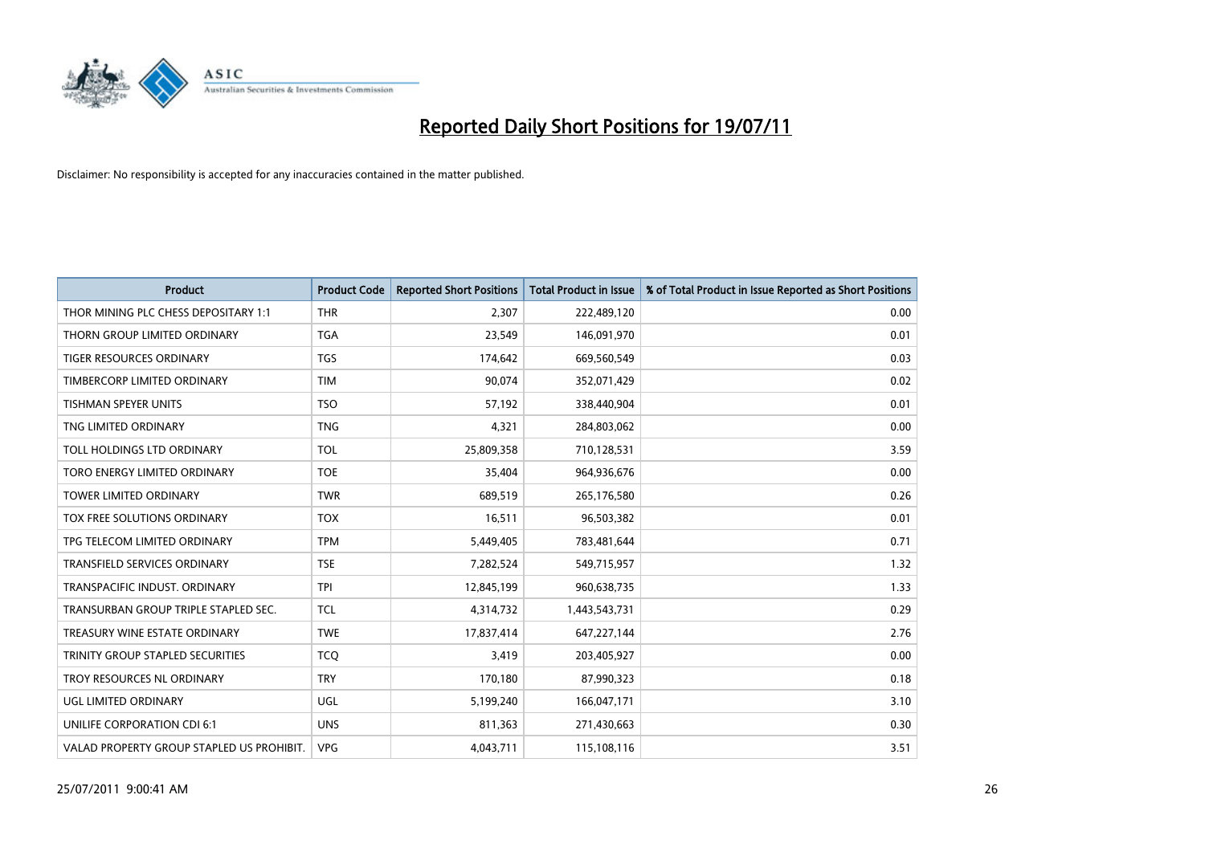

| <b>Product</b>                            | <b>Product Code</b> | <b>Reported Short Positions</b> | Total Product in Issue | % of Total Product in Issue Reported as Short Positions |
|-------------------------------------------|---------------------|---------------------------------|------------------------|---------------------------------------------------------|
|                                           | <b>THR</b>          |                                 |                        |                                                         |
| THOR MINING PLC CHESS DEPOSITARY 1:1      |                     | 2,307                           | 222,489,120            | 0.00                                                    |
| THORN GROUP LIMITED ORDINARY              | <b>TGA</b>          | 23,549                          | 146,091,970            | 0.01                                                    |
| TIGER RESOURCES ORDINARY                  | <b>TGS</b>          | 174,642                         | 669,560,549            | 0.03                                                    |
| TIMBERCORP LIMITED ORDINARY               | <b>TIM</b>          | 90,074                          | 352,071,429            | 0.02                                                    |
| <b>TISHMAN SPEYER UNITS</b>               | <b>TSO</b>          | 57,192                          | 338,440,904            | 0.01                                                    |
| TNG LIMITED ORDINARY                      | <b>TNG</b>          | 4,321                           | 284,803,062            | 0.00                                                    |
| TOLL HOLDINGS LTD ORDINARY                | <b>TOL</b>          | 25,809,358                      | 710,128,531            | 3.59                                                    |
| TORO ENERGY LIMITED ORDINARY              | <b>TOE</b>          | 35,404                          | 964,936,676            | 0.00                                                    |
| TOWER LIMITED ORDINARY                    | <b>TWR</b>          | 689,519                         | 265,176,580            | 0.26                                                    |
| TOX FREE SOLUTIONS ORDINARY               | <b>TOX</b>          | 16,511                          | 96,503,382             | 0.01                                                    |
| TPG TELECOM LIMITED ORDINARY              | <b>TPM</b>          | 5,449,405                       | 783,481,644            | 0.71                                                    |
| <b>TRANSFIELD SERVICES ORDINARY</b>       | <b>TSE</b>          | 7,282,524                       | 549,715,957            | 1.32                                                    |
| TRANSPACIFIC INDUST. ORDINARY             | <b>TPI</b>          | 12,845,199                      | 960,638,735            | 1.33                                                    |
| TRANSURBAN GROUP TRIPLE STAPLED SEC.      | <b>TCL</b>          | 4,314,732                       | 1,443,543,731          | 0.29                                                    |
| TREASURY WINE ESTATE ORDINARY             | <b>TWE</b>          | 17,837,414                      | 647,227,144            | 2.76                                                    |
| TRINITY GROUP STAPLED SECURITIES          | <b>TCO</b>          | 3,419                           | 203,405,927            | 0.00                                                    |
| TROY RESOURCES NL ORDINARY                | <b>TRY</b>          | 170,180                         | 87,990,323             | 0.18                                                    |
| UGL LIMITED ORDINARY                      | UGL                 | 5,199,240                       | 166,047,171            | 3.10                                                    |
| UNILIFE CORPORATION CDI 6:1               | <b>UNS</b>          | 811,363                         | 271,430,663            | 0.30                                                    |
| VALAD PROPERTY GROUP STAPLED US PROHIBIT. | <b>VPG</b>          | 4,043,711                       | 115,108,116            | 3.51                                                    |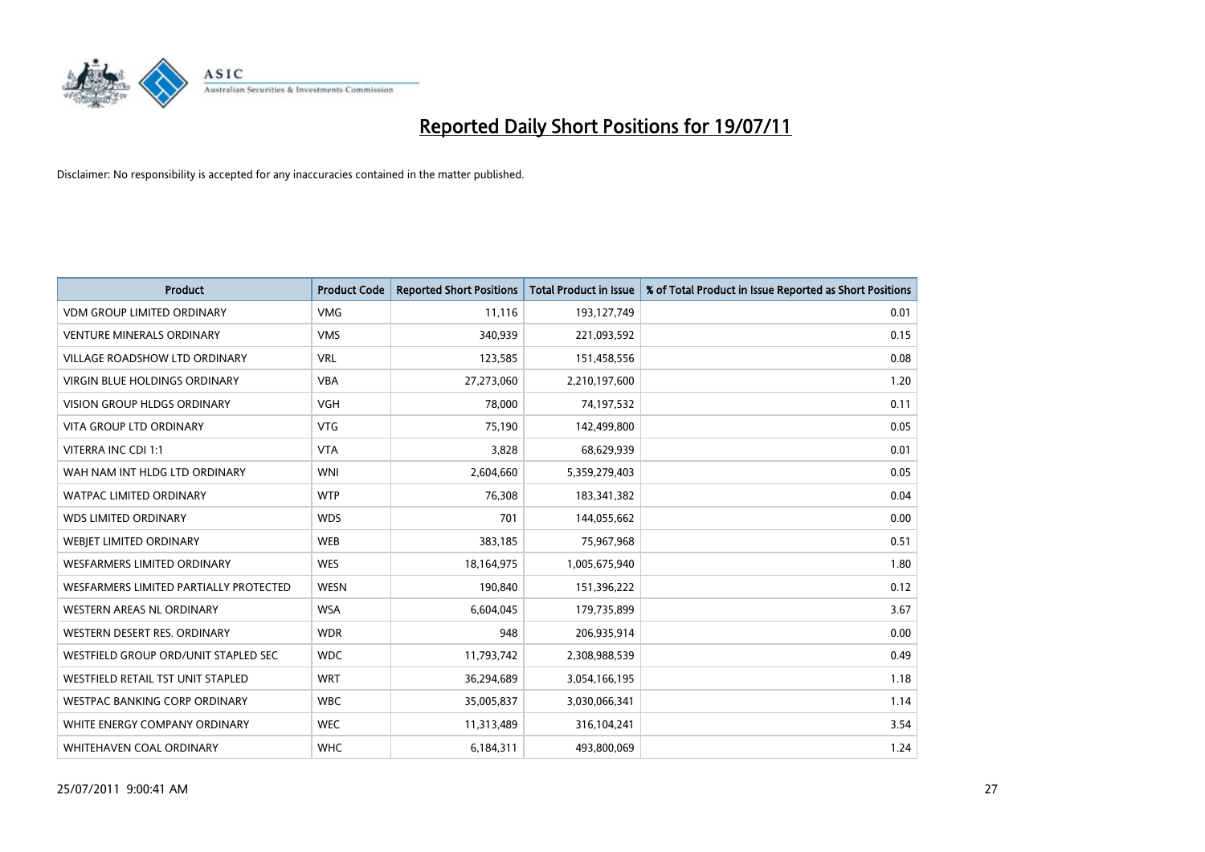

| <b>Product</b>                         | <b>Product Code</b> | <b>Reported Short Positions</b> | <b>Total Product in Issue</b> | % of Total Product in Issue Reported as Short Positions |
|----------------------------------------|---------------------|---------------------------------|-------------------------------|---------------------------------------------------------|
| <b>VDM GROUP LIMITED ORDINARY</b>      | <b>VMG</b>          | 11,116                          | 193,127,749                   | 0.01                                                    |
| <b>VENTURE MINERALS ORDINARY</b>       | <b>VMS</b>          | 340,939                         | 221,093,592                   | 0.15                                                    |
| <b>VILLAGE ROADSHOW LTD ORDINARY</b>   | <b>VRL</b>          | 123,585                         | 151,458,556                   | 0.08                                                    |
| <b>VIRGIN BLUE HOLDINGS ORDINARY</b>   | <b>VBA</b>          | 27,273,060                      | 2,210,197,600                 | 1.20                                                    |
| <b>VISION GROUP HLDGS ORDINARY</b>     | <b>VGH</b>          | 78,000                          | 74,197,532                    | 0.11                                                    |
| <b>VITA GROUP LTD ORDINARY</b>         | <b>VTG</b>          | 75,190                          | 142,499,800                   | 0.05                                                    |
| VITERRA INC CDI 1:1                    | <b>VTA</b>          | 3,828                           | 68,629,939                    | 0.01                                                    |
| WAH NAM INT HLDG LTD ORDINARY          | <b>WNI</b>          | 2,604,660                       | 5,359,279,403                 | 0.05                                                    |
| <b>WATPAC LIMITED ORDINARY</b>         | <b>WTP</b>          | 76,308                          | 183,341,382                   | 0.04                                                    |
| <b>WDS LIMITED ORDINARY</b>            | <b>WDS</b>          | 701                             | 144,055,662                   | 0.00                                                    |
| WEBJET LIMITED ORDINARY                | <b>WEB</b>          | 383,185                         | 75,967,968                    | 0.51                                                    |
| <b>WESFARMERS LIMITED ORDINARY</b>     | <b>WES</b>          | 18,164,975                      | 1,005,675,940                 | 1.80                                                    |
| WESFARMERS LIMITED PARTIALLY PROTECTED | <b>WESN</b>         | 190,840                         | 151,396,222                   | 0.12                                                    |
| <b>WESTERN AREAS NL ORDINARY</b>       | <b>WSA</b>          | 6,604,045                       | 179,735,899                   | 3.67                                                    |
| WESTERN DESERT RES. ORDINARY           | <b>WDR</b>          | 948                             | 206,935,914                   | 0.00                                                    |
| WESTFIELD GROUP ORD/UNIT STAPLED SEC   | <b>WDC</b>          | 11,793,742                      | 2,308,988,539                 | 0.49                                                    |
| WESTFIELD RETAIL TST UNIT STAPLED      | <b>WRT</b>          | 36,294,689                      | 3,054,166,195                 | 1.18                                                    |
| <b>WESTPAC BANKING CORP ORDINARY</b>   | <b>WBC</b>          | 35,005,837                      | 3,030,066,341                 | 1.14                                                    |
| WHITE ENERGY COMPANY ORDINARY          | <b>WEC</b>          | 11,313,489                      | 316,104,241                   | 3.54                                                    |
| WHITEHAVEN COAL ORDINARY               | <b>WHC</b>          | 6,184,311                       | 493,800,069                   | 1.24                                                    |